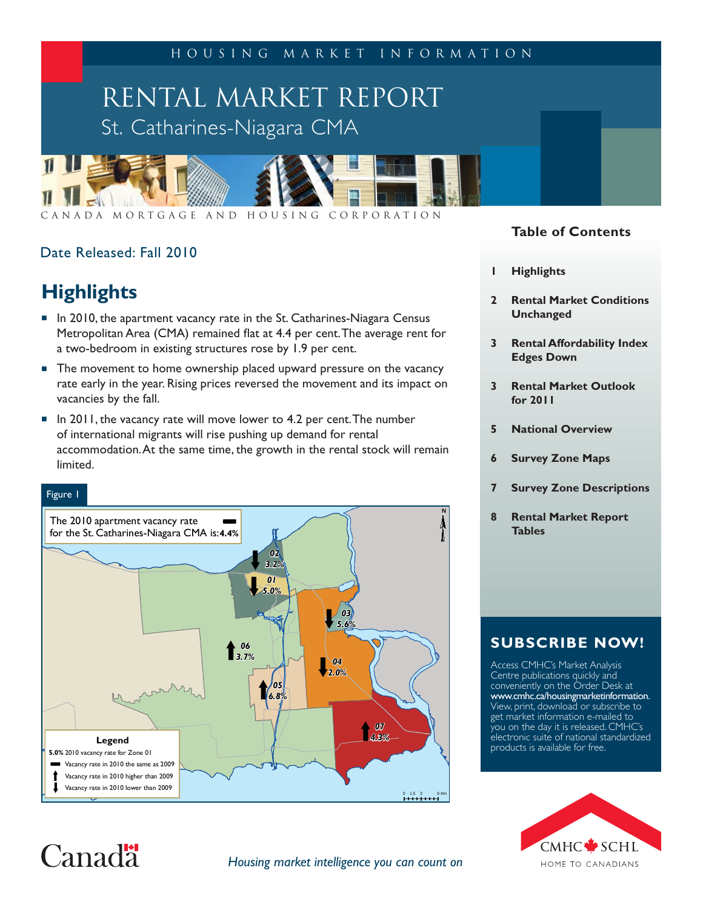Housing Market Information

# RENTAL MARKET REPORT St. Catharines-Niagara CMA



Canada Mortgage and Housing Corporation

# Date Released: Fall 2010

# **Highlights**

- In 2010, the apartment vacancy rate in the St. Catharines-Niagara Census Metropolitan Area (CMA) remained flat at 4.4 per cent. The average rent for a two-bedroom in existing structures rose by 1.9 per cent.
- The movement to home ownership placed upward pressure on the vacancy rate early in the year. Rising prices reversed the movement and its impact on vacancies by the fall.
- $\blacksquare$  In 2011, the vacancy rate will move lower to 4.2 per cent. The number of international migrants will rise pushing up demand for rental accommodation. At the same time, the growth in the rental stock will remain limited.

#### Figure 1

 $Canad<sup>1</sup>$ 



### **Table of Contents**

- **1 Highlights**
- **2 Rental Market Conditions Unchanged**
- **3 Rental Affordability Index Edges Down**
- **3 Rental Market Outlook for 2011**
- **5 National Overview**
- **6 Survey Zone Maps**
- **7 Survey Zone Descriptions**
- **8 Rental Market Report Tables**

# **SUBSCRIBE NOW!**

Access CMHC's Market Analysis Centre publications quickly and conveniently on the Order Desk at www.cmhc.ca/housingmarketinformation. View, print, download or subscribe to get market information e-mailed to you on the day it is released. CMHC's electronic suite of national standardized products is available for free.



#### *Housing market intelligence you can count on*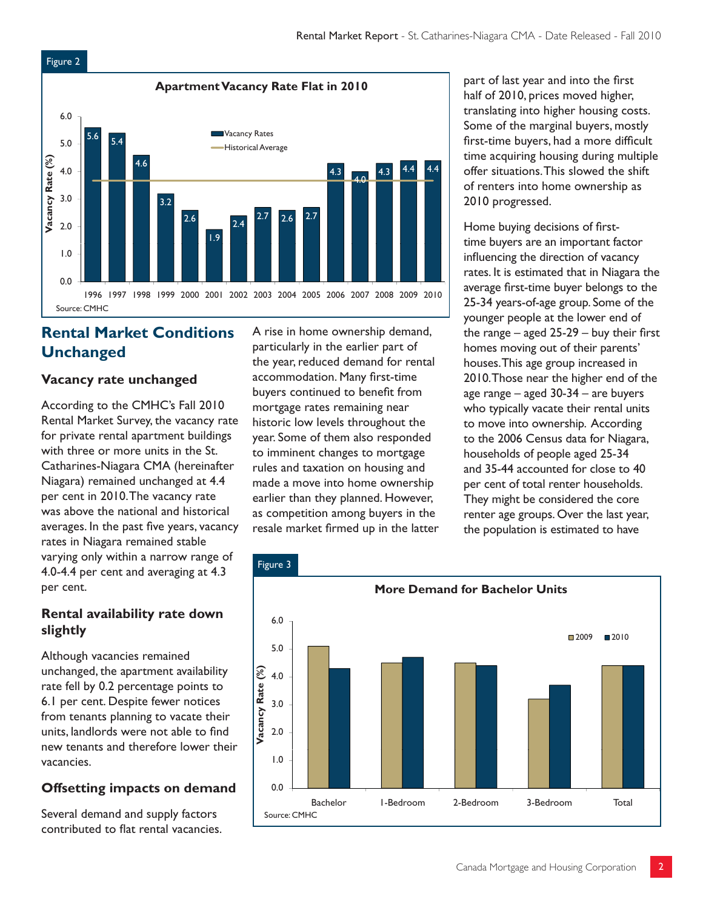

# **Rental Market Conditions Unchanged**

### **Vacancy rate unchanged**

According to the CMHC's Fall 2010 Rental Market Survey, the vacancy rate for private rental apartment buildings with three or more units in the St. Catharines-Niagara CMA (hereinafter Niagara) remained unchanged at 4.4 per cent in 2010. The vacancy rate was above the national and historical averages. In the past five years, vacancy rates in Niagara remained stable varying only within a narrow range of 4.0-4.4 per cent and averaging at 4.3 per cent.

### **Rental availability rate down slightly**

Although vacancies remained unchanged, the apartment availability rate fell by 0.2 percentage points to 6.1 per cent. Despite fewer notices from tenants planning to vacate their units, landlords were not able to find new tenants and therefore lower their vacancies.

# **Offsetting impacts on demand**

Several demand and supply factors contributed to flat rental vacancies.

A rise in home ownership demand, particularly in the earlier part of the year, reduced demand for rental accommodation. Many first-time buyers continued to benefit from mortgage rates remaining near historic low levels throughout the year. Some of them also responded to imminent changes to mortgage rules and taxation on housing and made a move into home ownership earlier than they planned. However, as competition among buyers in the resale market firmed up in the latter part of last year and into the first half of 2010, prices moved higher, translating into higher housing costs. Some of the marginal buyers, mostly first-time buyers, had a more difficult time acquiring housing during multiple offer situations. This slowed the shift of renters into home ownership as 2010 progressed.

Home buying decisions of firsttime buyers are an important factor influencing the direction of vacancy rates. It is estimated that in Niagara the average first-time buyer belongs to the 25-34 years-of-age group. Some of the younger people at the lower end of the range  $-$  aged 25-29  $-$  buy their first homes moving out of their parents' houses. This age group increased in 2010. Those near the higher end of the age range – aged 30-34 – are buyers who typically vacate their rental units to move into ownership. According to the 2006 Census data for Niagara, households of people aged 25-34 and 35-44 accounted for close to 40 per cent of total renter households. They might be considered the core renter age groups. Over the last year, the population is estimated to have

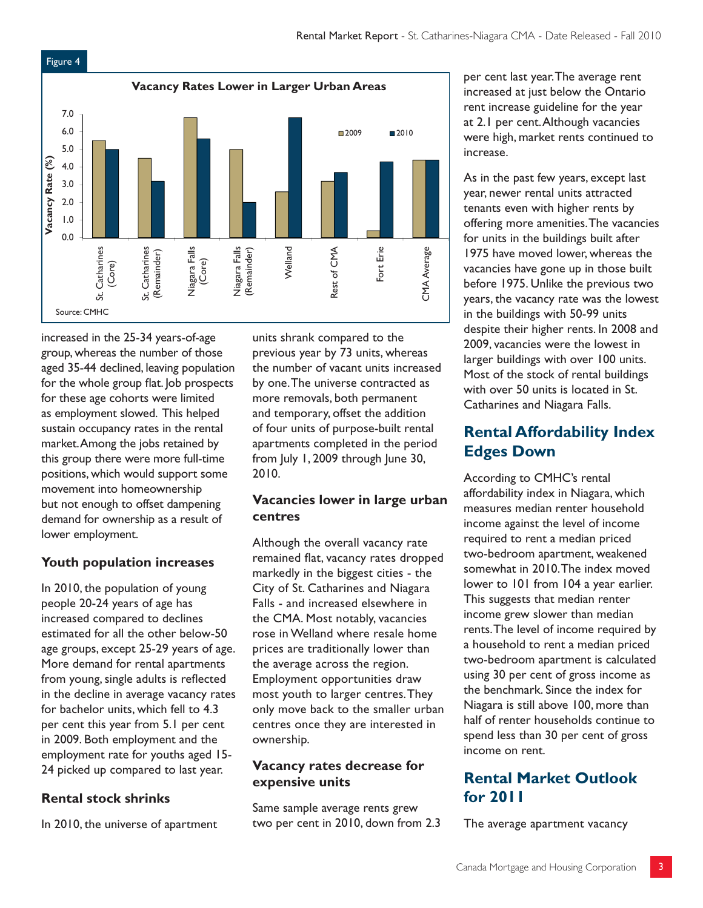

increased in the 25-34 years-of-age group, whereas the number of those aged 35-44 declined, leaving population for the whole group flat. Job prospects for these age cohorts were limited as employment slowed. This helped sustain occupancy rates in the rental market. Among the jobs retained by this group there were more full-time positions, which would support some movement into homeownership but not enough to offset dampening demand for ownership as a result of lower employment.

# **Youth population increases**

In 2010, the population of young people 20-24 years of age has increased compared to declines estimated for all the other below-50 age groups, except 25-29 years of age. More demand for rental apartments from young, single adults is reflected in the decline in average vacancy rates for bachelor units, which fell to 4.3 per cent this year from 5.1 per cent in 2009. Both employment and the employment rate for youths aged 15- 24 picked up compared to last year.

# **Rental stock shrinks**

In 2010, the universe of apartment

units shrank compared to the previous year by 73 units, whereas the number of vacant units increased by one. The universe contracted as more removals, both permanent and temporary, offset the addition of four units of purpose-built rental apartments completed in the period from July 1, 2009 through June 30, 2010.

## **Vacancies lower in large urban centres**

Although the overall vacancy rate remained flat, vacancy rates dropped markedly in the biggest cities - the City of St. Catharines and Niagara Falls - and increased elsewhere in the CMA. Most notably, vacancies rose in Welland where resale home prices are traditionally lower than the average across the region. Employment opportunities draw most youth to larger centres. They only move back to the smaller urban centres once they are interested in ownership.

## **Vacancy rates decrease for expensive units**

Same sample average rents grew two per cent in 2010, down from 2.3 per cent last year. The average rent increased at just below the Ontario rent increase guideline for the year at 2.1 per cent. Although vacancies were high, market rents continued to increase.

As in the past few years, except last year, newer rental units attracted tenants even with higher rents by offering more amenities. The vacancies for units in the buildings built after 1975 have moved lower, whereas the vacancies have gone up in those built before 1975. Unlike the previous two years, the vacancy rate was the lowest in the buildings with 50-99 units despite their higher rents. In 2008 and 2009, vacancies were the lowest in larger buildings with over 100 units. Most of the stock of rental buildings with over 50 units is located in St. Catharines and Niagara Falls.

# **Rental Affordability Index Edges Down**

According to CMHC's rental affordability index in Niagara, which measures median renter household income against the level of income required to rent a median priced two-bedroom apartment, weakened somewhat in 2010. The index moved lower to 101 from 104 a year earlier. This suggests that median renter income grew slower than median rents. The level of income required by a household to rent a median priced two-bedroom apartment is calculated using 30 per cent of gross income as the benchmark. Since the index for Niagara is still above 100, more than half of renter households continue to spend less than 30 per cent of gross income on rent.

# **Rental Market Outlook for 2011**

The average apartment vacancy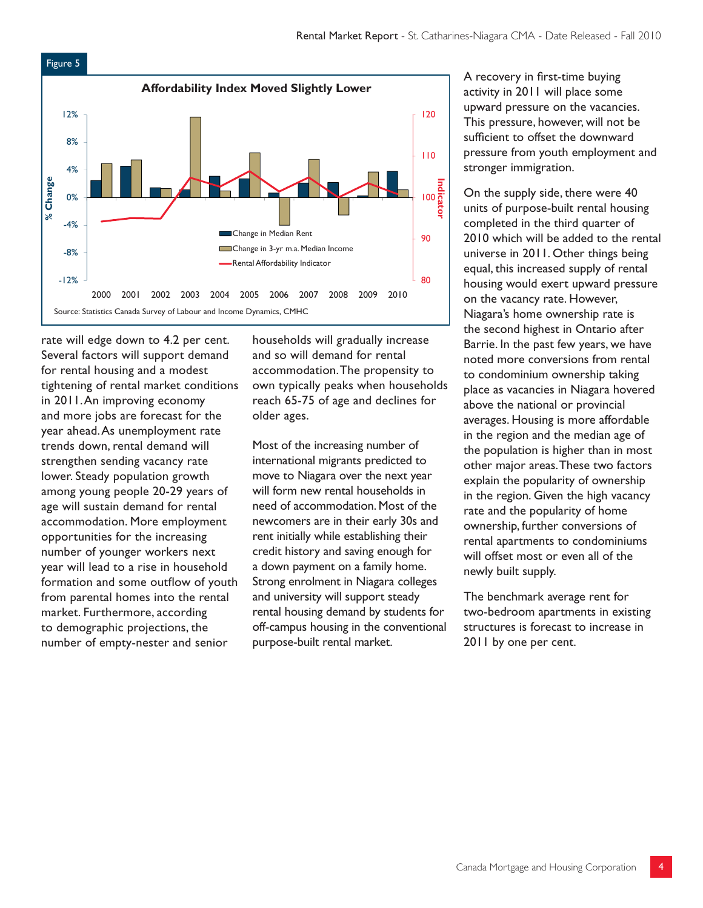

rate will edge down to 4.2 per cent. Several factors will support demand for rental housing and a modest tightening of rental market conditions in 2011. An improving economy and more jobs are forecast for the year ahead. As unemployment rate trends down, rental demand will strengthen sending vacancy rate lower. Steady population growth among young people 20-29 years of age will sustain demand for rental accommodation. More employment opportunities for the increasing number of younger workers next year will lead to a rise in household formation and some outflow of youth from parental homes into the rental market. Furthermore, according to demographic projections, the number of empty-nester and senior

households will gradually increase and so will demand for rental accommodation. The propensity to own typically peaks when households reach 65-75 of age and declines for older ages.

Most of the increasing number of international migrants predicted to move to Niagara over the next year will form new rental households in need of accommodation. Most of the newcomers are in their early 30s and rent initially while establishing their credit history and saving enough for a down payment on a family home. Strong enrolment in Niagara colleges and university will support steady rental housing demand by students for off-campus housing in the conventional purpose-built rental market.

A recovery in first-time buying activity in 2011 will place some upward pressure on the vacancies. This pressure, however, will not be sufficient to offset the downward pressure from youth employment and stronger immigration.

On the supply side, there were 40 units of purpose-built rental housing completed in the third quarter of 2010 which will be added to the rental universe in 2011. Other things being equal, this increased supply of rental housing would exert upward pressure on the vacancy rate. However, Niagara's home ownership rate is the second highest in Ontario after Barrie. In the past few years, we have noted more conversions from rental to condominium ownership taking place as vacancies in Niagara hovered above the national or provincial averages. Housing is more affordable in the region and the median age of the population is higher than in most other major areas. These two factors explain the popularity of ownership in the region. Given the high vacancy rate and the popularity of home ownership, further conversions of rental apartments to condominiums will offset most or even all of the newly built supply.

The benchmark average rent for two-bedroom apartments in existing structures is forecast to increase in 2011 by one per cent.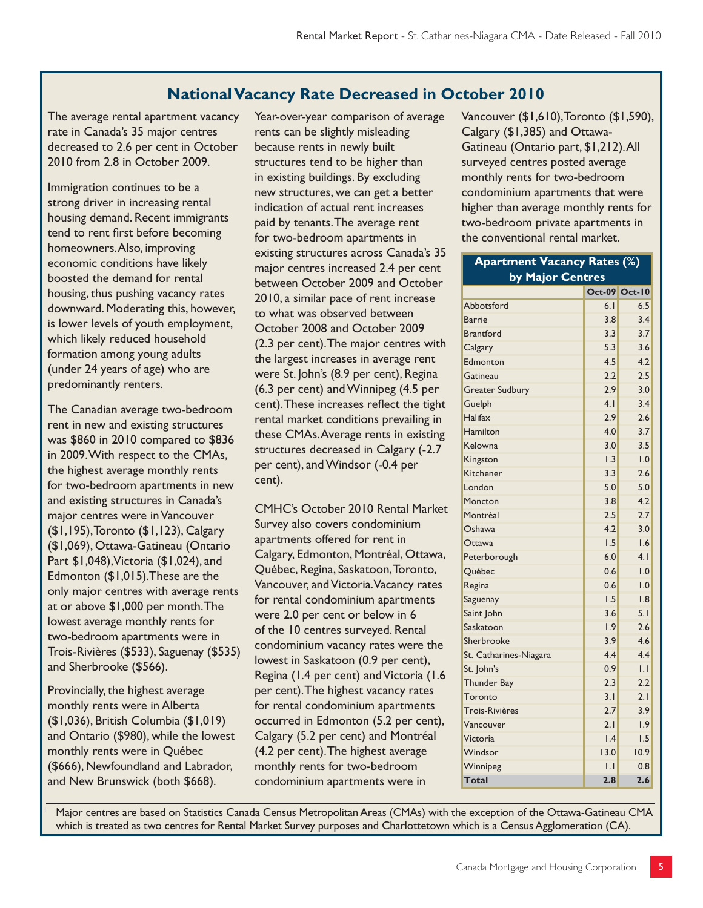# **National Vacancy Rate Decreased in October 2010**

The average rental apartment vacancy rate in Canada's 35 major centres decreased to 2.6 per cent in October 2010 from 2.8 in October 2009.

Immigration continues to be a strong driver in increasing rental housing demand. Recent immigrants tend to rent first before becoming homeowners. Also, improving economic conditions have likely boosted the demand for rental housing, thus pushing vacancy rates downward. Moderating this, however, is lower levels of youth employment, which likely reduced household formation among young adults (under 24 years of age) who are predominantly renters.

The Canadian average two-bedroom rent in new and existing structures was \$860 in 2010 compared to \$836 in 2009. With respect to the CMAs, the highest average monthly rents for two-bedroom apartments in new and existing structures in Canada's major centres were in Vancouver (\$1,195), Toronto (\$1,123), Calgary (\$1,069), Ottawa-Gatineau (Ontario Part \$1,048), Victoria (\$1,024), and Edmonton (\$1,015).These are the only major centres with average rents at or above \$1,000 per month. The lowest average monthly rents for two-bedroom apartments were in Trois-Rivières (\$533), Saguenay (\$535) and Sherbrooke (\$566).

Provincially, the highest average monthly rents were in Alberta (\$1,036), British Columbia (\$1,019) and Ontario (\$980), while the lowest monthly rents were in Québec (\$666), Newfoundland and Labrador, and New Brunswick (both \$668).

1

Year-over-year comparison of average rents can be slightly misleading because rents in newly built structures tend to be higher than in existing buildings. By excluding new structures, we can get a better indication of actual rent increases paid by tenants. The average rent for two-bedroom apartments in existing structures across Canada's 35 major centres increased 2.4 per cent between October 2009 and October 2010, a similar pace of rent increase to what was observed between October 2008 and October 2009 (2.3 per cent). The major centres with the largest increases in average rent were St. John's (8.9 per cent), Regina (6.3 per cent) and Winnipeg (4.5 per cent). These increases reflect the tight rental market conditions prevailing in these CMAs. Average rents in existing structures decreased in Calgary (-2.7 per cent), and Windsor (-0.4 per cent).

CMHC's October 2010 Rental Market Survey also covers condominium apartments offered for rent in Calgary, Edmonton, Montréal, Ottawa, Québec, Regina, Saskatoon, Toronto, Vancouver, and Victoria. Vacancy rates for rental condominium apartments were 2.0 per cent or below in 6 of the 10 centres surveyed. Rental condominium vacancy rates were the lowest in Saskatoon (0.9 per cent), Regina (1.4 per cent) and Victoria (1.6 per cent). The highest vacancy rates for rental condominium apartments occurred in Edmonton (5.2 per cent), Calgary (5.2 per cent) and Montréal (4.2 per cent). The highest average monthly rents for two-bedroom condominium apartments were in

Vancouver (\$1,610), Toronto (\$1,590), Calgary (\$1,385) and Ottawa-Gatineau (Ontario part, \$1,212). All surveyed centres posted average monthly rents for two-bedroom condominium apartments that were higher than average monthly rents for two-bedroom private apartments in the conventional rental market.

| <b>Apartment Vacancy Rates (%)</b> |                  |                |  |  |  |  |  |  |  |  |
|------------------------------------|------------------|----------------|--|--|--|--|--|--|--|--|
| by Major Centres                   |                  |                |  |  |  |  |  |  |  |  |
|                                    | <b>Oct-09</b>    | <b>Oct-10</b>  |  |  |  |  |  |  |  |  |
| Abbotsford                         | 6.1              | 6.5            |  |  |  |  |  |  |  |  |
| <b>Barrie</b>                      | 3.8              | 3.4            |  |  |  |  |  |  |  |  |
| <b>Brantford</b>                   | 3.3              | 3.7            |  |  |  |  |  |  |  |  |
| Calgary                            | 5.3              | 3.6            |  |  |  |  |  |  |  |  |
| Edmonton                           | 4.5              | 4.2            |  |  |  |  |  |  |  |  |
| Gatineau                           | 2.2              | 2.5            |  |  |  |  |  |  |  |  |
| <b>Greater Sudbury</b>             | 2.9              | 3.0            |  |  |  |  |  |  |  |  |
| Guelph                             | 4.1              | 3.4            |  |  |  |  |  |  |  |  |
| Halifax                            | 2.9              | 2.6            |  |  |  |  |  |  |  |  |
| Hamilton                           | 4.0              | 3.7            |  |  |  |  |  |  |  |  |
| Kelowna                            | 3.0              | 3.5            |  |  |  |  |  |  |  |  |
| Kingston                           | 1.3              | 1.0            |  |  |  |  |  |  |  |  |
| Kitchener                          | 3.3              | 2.6            |  |  |  |  |  |  |  |  |
| London                             | 5.0              | 5.0            |  |  |  |  |  |  |  |  |
| Moncton                            | 3.8              | 4.2            |  |  |  |  |  |  |  |  |
| Montréal                           | 2.5              | 2.7            |  |  |  |  |  |  |  |  |
| Oshawa                             | 4.2              | 3.0            |  |  |  |  |  |  |  |  |
| Ottawa                             | 1.5              | 1.6            |  |  |  |  |  |  |  |  |
| Peterborough                       | 6.0              | 4.1            |  |  |  |  |  |  |  |  |
| Québec                             | 0.6              | 1.0            |  |  |  |  |  |  |  |  |
| Regina                             | 0.6              | 1.0            |  |  |  |  |  |  |  |  |
| Saguenay                           | 1.5              | 1.8            |  |  |  |  |  |  |  |  |
| Saint John                         | 3.6              | 5.1            |  |  |  |  |  |  |  |  |
| Saskatoon                          | 1.9              | 2.6            |  |  |  |  |  |  |  |  |
| Sherbrooke                         | 3.9              | 4.6            |  |  |  |  |  |  |  |  |
| St. Catharines-Niagara             | 4.4              | 4.4            |  |  |  |  |  |  |  |  |
| St. John's                         | 0.9              | $\overline{L}$ |  |  |  |  |  |  |  |  |
| Thunder Bay                        | 2.3              | 2.2            |  |  |  |  |  |  |  |  |
| Toronto                            | 3.1              | 2.1            |  |  |  |  |  |  |  |  |
| Trois-Rivières                     | 2.7              | 3.9            |  |  |  |  |  |  |  |  |
| Vancouver                          | 2.1              | 1.9            |  |  |  |  |  |  |  |  |
| Victoria                           | $\overline{1.4}$ | 1.5            |  |  |  |  |  |  |  |  |
| Windsor                            | 13.0             | 10.9           |  |  |  |  |  |  |  |  |
| Winnipeg                           | IJ               | 0.8            |  |  |  |  |  |  |  |  |
| <b>Total</b>                       | 2.8              | 2.6            |  |  |  |  |  |  |  |  |

 Major centres are based on Statistics Canada Census Metropolitan Areas (CMAs) with the exception of the Ottawa-Gatineau CMA which is treated as two centres for Rental Market Survey purposes and Charlottetown which is a Census Agglomeration (CA).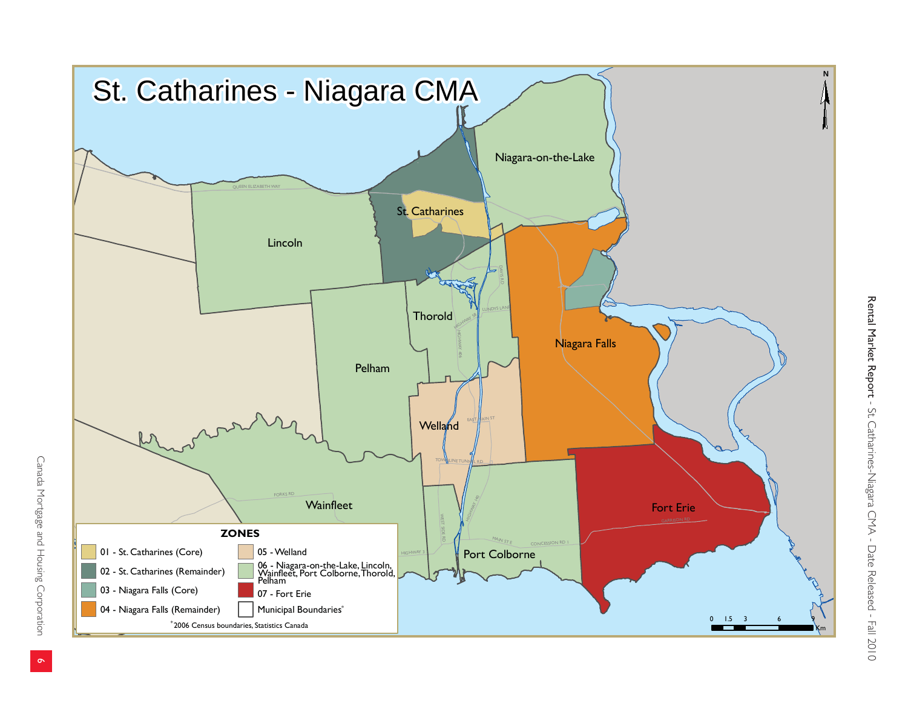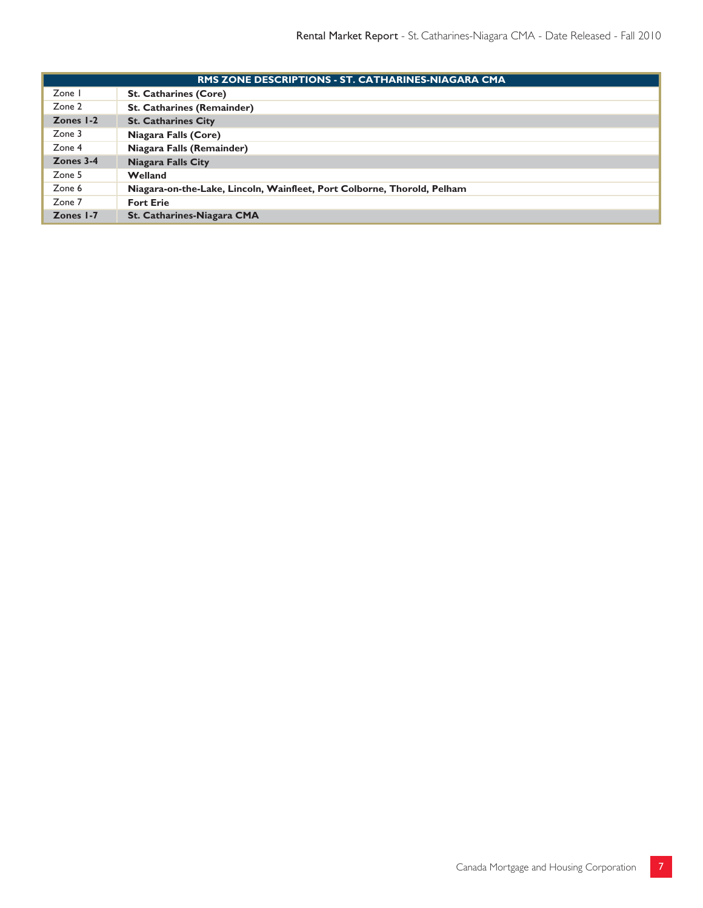|           | RMS ZONE DESCRIPTIONS - ST. CATHARINES-NIAGARA CMA                      |  |  |  |  |  |  |  |  |  |
|-----------|-------------------------------------------------------------------------|--|--|--|--|--|--|--|--|--|
| Zone I    | <b>St. Catharines (Core)</b>                                            |  |  |  |  |  |  |  |  |  |
| Zone 2    | <b>St. Catharines (Remainder)</b>                                       |  |  |  |  |  |  |  |  |  |
| Zones I-2 | <b>St. Catharines City</b>                                              |  |  |  |  |  |  |  |  |  |
| Zone 3    | Niagara Falls (Core)                                                    |  |  |  |  |  |  |  |  |  |
| Zone 4    | Niagara Falls (Remainder)                                               |  |  |  |  |  |  |  |  |  |
| Zones 3-4 | <b>Niagara Falls City</b>                                               |  |  |  |  |  |  |  |  |  |
| Zone 5    | Welland                                                                 |  |  |  |  |  |  |  |  |  |
| Zone 6    | Niagara-on-the-Lake, Lincoln, Wainfleet, Port Colborne, Thorold, Pelham |  |  |  |  |  |  |  |  |  |
| Zone 7    | <b>Fort Erie</b>                                                        |  |  |  |  |  |  |  |  |  |
| Zones 1-7 | St. Catharines-Niagara CMA                                              |  |  |  |  |  |  |  |  |  |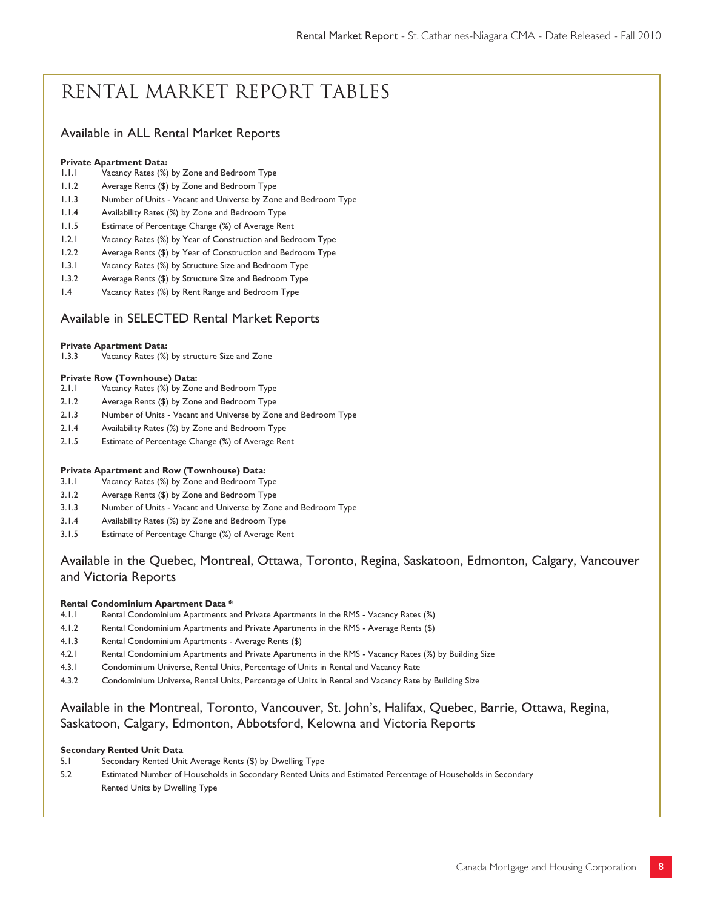# Rental Market Report Tables

### Available in ALL Rental Market Reports

#### **Private Apartment Data:**

- 1.1.1 Vacancy Rates (%) by Zone and Bedroom Type
- 1.1.2 Average Rents (\$) by Zone and Bedroom Type
- 1.1.3 Number of Units Vacant and Universe by Zone and Bedroom Type
- 1.1.4 Availability Rates (%) by Zone and Bedroom Type
- 1.1.5 Estimate of Percentage Change (%) of Average Rent
- 1.2.1 Vacancy Rates (%) by Year of Construction and Bedroom Type
- 1.2.2 Average Rents (\$) by Year of Construction and Bedroom Type
- 1.3.1 Vacancy Rates (%) by Structure Size and Bedroom Type
- 1.3.2 Average Rents (\$) by Structure Size and Bedroom Type
- 1.4 Vacancy Rates (%) by Rent Range and Bedroom Type

#### Available in SELECTED Rental Market Reports

# **Private Apartment Data:** 1.3.3 Vacancy Rates (%)

Vacancy Rates (%) by structure Size and Zone

#### **Private Row (Townhouse) Data:**

- 2.1.1 Vacancy Rates (%) by Zone and Bedroom Type
- 2.1.2 Average Rents (\$) by Zone and Bedroom Type
- 2.1.3 Number of Units Vacant and Universe by Zone and Bedroom Type
- 2.1.4 Availability Rates (%) by Zone and Bedroom Type
- 2.1.5 Estimate of Percentage Change (%) of Average Rent

#### **Private Apartment and Row (Townhouse) Data:**

- 3.1.1 Vacancy Rates (%) by Zone and Bedroom Type
- 3.1.2 Average Rents (\$) by Zone and Bedroom Type
- 3.1.3 Number of Units Vacant and Universe by Zone and Bedroom Type
- 3.1.4 Availability Rates (%) by Zone and Bedroom Type
- 3.1.5 Estimate of Percentage Change (%) of Average Rent

### Available in the Quebec, Montreal, Ottawa, Toronto, Regina, Saskatoon, Edmonton, Calgary, Vancouver and Victoria Reports

#### **Rental Condominium Apartment Data \***

- 4.1.1 Rental Condominium Apartments and Private Apartments in the RMS Vacancy Rates (%)
- 4.1.2 Rental Condominium Apartments and Private Apartments in the RMS Average Rents (\$)
- 4.1.3 Rental Condominium Apartments Average Rents (\$)
- 4.2.1 Rental Condominium Apartments and Private Apartments in the RMS Vacancy Rates (%) by Building Size
- 4.3.1 Condominium Universe, Rental Units, Percentage of Units in Rental and Vacancy Rate
- 4.3.2 Condominium Universe, Rental Units, Percentage of Units in Rental and Vacancy Rate by Building Size

### Available in the Montreal, Toronto, Vancouver, St. John's, Halifax, Quebec, Barrie, Ottawa, Regina, Saskatoon, Calgary, Edmonton, Abbotsford, Kelowna and Victoria Reports

#### **Secondary Rented Unit Data**

- 5.1 Secondary Rented Unit Average Rents (\$) by Dwelling Type
- 5.2 Estimated Number of Households in Secondary Rented Units and Estimated Percentage of Households in Secondary Rented Units by Dwelling Type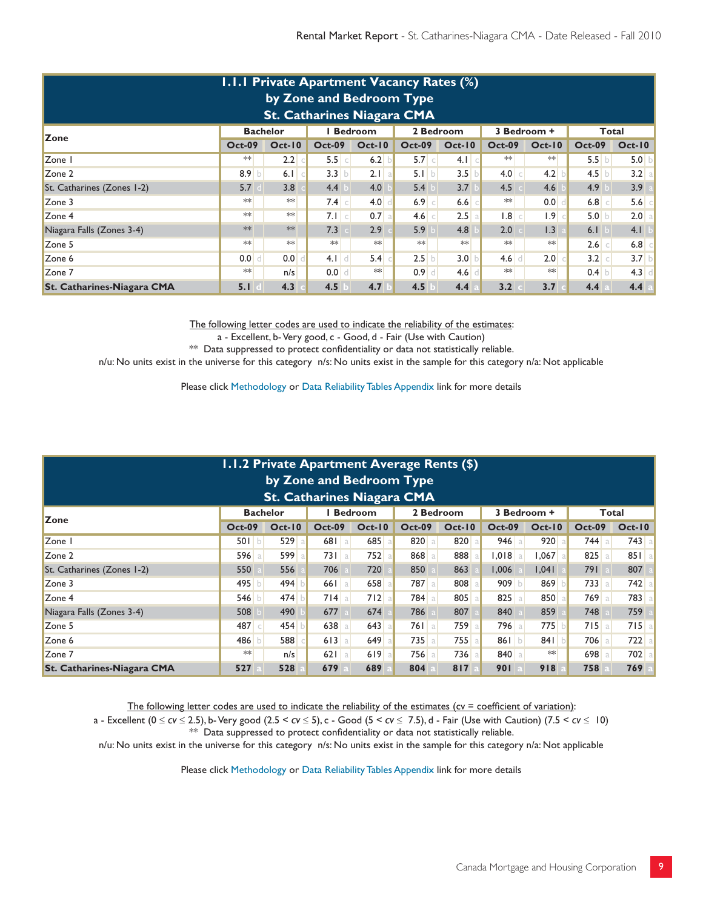| <b>I.I.I Private Apartment Vacancy Rates (%)</b><br>by Zone and Bedroom Type<br><b>St. Catharines Niagara CMA</b> |                  |          |                     |          |               |                  |                  |          |                     |          |  |  |  |
|-------------------------------------------------------------------------------------------------------------------|------------------|----------|---------------------|----------|---------------|------------------|------------------|----------|---------------------|----------|--|--|--|
| <b>Bachelor</b><br><b>Bedroom</b><br>2 Bedroom<br>3 Bedroom +<br>Total<br><b>Zone</b>                             |                  |          |                     |          |               |                  |                  |          |                     |          |  |  |  |
|                                                                                                                   | <b>Oct-09</b>    | $Oct-10$ | <b>Oct-09</b>       | $Oct-10$ | <b>Oct-09</b> | $Oct-10$         | <b>Oct-09</b>    | $Oct-10$ | <b>Oct-09</b>       | $Oct-10$ |  |  |  |
| Zone I                                                                                                            | $**$             | 2.2      | 5.5 c               | 6.2      | 5.7 c         | 4.1<br>$\subset$ | $**$             | $**$     | 5.5 b               | 5.0      |  |  |  |
| Zone 2                                                                                                            | 8.9 b            | 6.1      | 3.3<br>$\mathbf{b}$ | $2.1$ a  | 5.1 b         | 3.5              | 4.0<br>$\subset$ | 4.2      | $4.5$ b             | 3.2<br>a |  |  |  |
| St. Catharines (Zones 1-2)                                                                                        | 5.7              | 3.8      | 4.4                 | 4.0      | 5.4           | 3.7              | 4.5              | 4.6      | 4.9                 | 3.9      |  |  |  |
| Zone 3                                                                                                            | **               | $**$     | $7.4$ c             | 4.0      | $6.9$ $c$     | 6.6              | $**$             | 0.0      | $6.8$ $c$           | 5.6      |  |  |  |
| Zone 4                                                                                                            | $**$             | $**$     | $7.1$ $c$           | $0.7$ a  | 4.6 c         | 2.5              | .8 <br>$\subset$ | .9       | 5.0 b               | 2.0<br>a |  |  |  |
| Niagara Falls (Zones 3-4)                                                                                         | **               | **       | 7.3                 | 2.9      | 5.9           | 4.8              | 2.0              | 1.3      | 6.1                 | 4.1      |  |  |  |
| Zone 5                                                                                                            | $**$             | $**$     | $**$                | $**$     | **            | $**$             | $*\ast$          | $**$     | $2.6$ c             | 6.8      |  |  |  |
| Zone 6                                                                                                            | 0.0 <sub>1</sub> | 0.0      | $4.1$ d             | 5.4      | 2.5           | 3.0              | $4.6$ d          | 2.0      | 3.2<br>$\mathbb{C}$ | 3.7      |  |  |  |
| Zone 7                                                                                                            | $**$             | n/s      | 0.0<br>$\mathbf{d}$ | $**$     | $0.9$ d       | 4.6              | $*$              | $**$     | $0.4$ b             | 4.3<br>d |  |  |  |
| <b>St. Catharines-Niagara CMA</b>                                                                                 | 5.1              | 4.3      | 4.5                 | 4.7      | 4.5           | 4.4              | 3.2              | 3.7      | 4.4                 | 4.4      |  |  |  |

a - Excellent, b- Very good, c - Good, d - Fair (Use with Caution)

\*\* Data suppressed to protect confidentiality or data not statistically reliable.

n/u: No units exist in the universe for this category n/s: No units exist in the sample for this category n/a: Not applicable

Please click Methodology or Data Reliability Tables Appendix link for more details

| <b>1.1.2 Private Apartment Average Rents (\$)</b><br>by Zone and Bedroom Type<br><b>St. Catharines Niagara CMA</b> |               |          |               |          |               |          |               |            |               |          |  |  |
|--------------------------------------------------------------------------------------------------------------------|---------------|----------|---------------|----------|---------------|----------|---------------|------------|---------------|----------|--|--|
| <b>Bedroom</b><br>2 Bedroom<br>3 Bedroom +<br><b>Bachelor</b><br>Total<br><b>Zone</b>                              |               |          |               |          |               |          |               |            |               |          |  |  |
|                                                                                                                    | <b>Oct-09</b> | $Oct-10$ | <b>Oct-09</b> | $Oct-10$ | <b>Oct-09</b> | $Oct-10$ | <b>Oct-09</b> | $Oct-10$   | <b>Oct-09</b> | $Oct-10$ |  |  |
| Zone I                                                                                                             | 501 b         | 529a     | 681<br>l al   | $685$ a  | 820 a         | 820      | $946$   a     | 920        | $744$ a       | $743$ a  |  |  |
| Zone 2                                                                                                             | 596 a         | 599 a    | 731a          | $752$ a  | 868 a         | 888      | $1,018$ a     | $1,067$ al | 825<br>l a    | 851a     |  |  |
| St. Catharines (Zones 1-2)                                                                                         | 550           | 556      | 706           | 720      | 850           | 863      | 1,006         | 1.041      | 791           | 807      |  |  |
| Zone 3                                                                                                             | 495 b         | 494      | $661$ a       | 658 al   | 787 a         | 808      | 909 b         | 869        | $733$ a       | $742$ a  |  |  |
| Zone 4                                                                                                             | 546 b         | 474      | $714$ a       | $712$ a  | 784a          | 805      | 825 a         | 850        | 769a          | 783 a    |  |  |
| Niagara Falls (Zones 3-4)                                                                                          | 508           | 490      | 677           | 674      | 786           | 807      | 840           | 859        | 748           | 759      |  |  |
| Zone 5                                                                                                             | 487 c         | 454      | 638<br>a l    | 643      | 761a          | 759      | $796$ a       | 775        | 715a          | 715a     |  |  |
| Zone 6                                                                                                             | 486           | 588      | 613<br>a l    | $649$ a  | $735$ a       | 755      | 86 $ b $      | 841        | <b>706</b> a  | $722$ a  |  |  |
| Zone 7                                                                                                             | **            | n/s      | $621$ a       | 619a     | <b>756</b> a  | 736      | 840 a         | $**$       | 698 a         | $702$ a  |  |  |
| <b>St. Catharines-Niagara CMA</b>                                                                                  | 527           | 528      | 679           | 689      | 804           | 817      | 901           | 918        | 758           | 769      |  |  |

The following letter codes are used to indicate the reliability of the estimates (cv = coefficient of variation):

a - Excellent (0 *cv* 2.5), b- Very good (2.5 < *cv* 5), c - Good (5 < *cv* 7.5), d - Fair (Use with Caution) (7.5 < *cv* 10) \*\* Data suppressed to protect confidentiality or data not statistically reliable.

n/u: No units exist in the universe for this category n/s: No units exist in the sample for this category n/a: Not applicable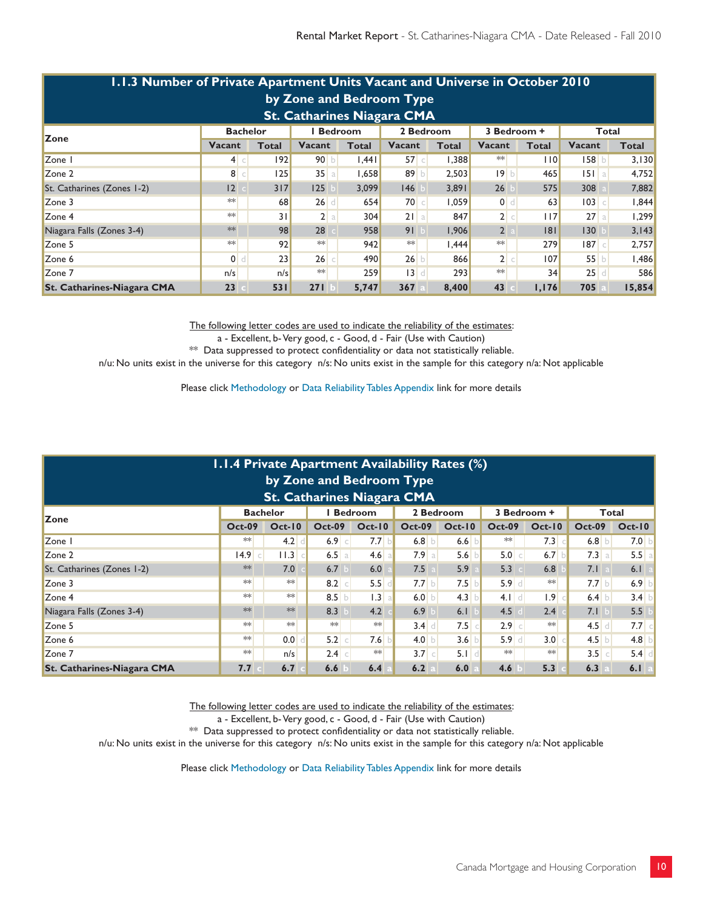|                                                                                                                                               | 1.1.3 Number of Private Apartment Units Vacant and Universe in October 2010<br>by Zone and Bedroom Type<br><b>St. Catharines Niagara CMA</b> |     |              |       |        |        |                |       |         |        |  |  |  |  |
|-----------------------------------------------------------------------------------------------------------------------------------------------|----------------------------------------------------------------------------------------------------------------------------------------------|-----|--------------|-------|--------|--------|----------------|-------|---------|--------|--|--|--|--|
| 2 Bedroom<br>Total<br><b>Bachelor</b><br><b>Bedroom</b><br>3 Bedroom +                                                                        |                                                                                                                                              |     |              |       |        |        |                |       |         |        |  |  |  |  |
| <b>Zone</b><br><b>Vacant</b><br><b>Vacant</b><br><b>Vacant</b><br><b>Total</b><br><b>Vacant</b><br>Vacant<br>Total<br>Total<br>Total<br>Total |                                                                                                                                              |     |              |       |        |        |                |       |         |        |  |  |  |  |
| Zone I                                                                                                                                        | 4 c                                                                                                                                          | 92  | 90 b         | .44   | 57c    | 1,388  | $**$           | 10    | 158 b   | 3,130  |  |  |  |  |
| Zone 2                                                                                                                                        | 8 c                                                                                                                                          | 125 | 35a          | 1.658 | 89 $b$ | 2,503  | 19 b           | 465   | $151$ a | 4,752  |  |  |  |  |
| St. Catharines (Zones 1-2)                                                                                                                    | 12                                                                                                                                           | 317 | 125          | 3.099 | 146    | 3,891  | 26             | 575   | 308     | 7,882  |  |  |  |  |
| Zone 3                                                                                                                                        | $**$                                                                                                                                         | 68  | $26$ d       | 654   | 70 c   | 1,059  | $\bullet$      | 63    | $103$ c | 1,844  |  |  |  |  |
| Zone 4                                                                                                                                        | $**$                                                                                                                                         | 31  | 2a           | 304   | $21$ a | 847    | 2 c            | 117   | 27a     | .299   |  |  |  |  |
| Niagara Falls (Zones 3-4)                                                                                                                     | $**$                                                                                                                                         | 98  | 28           | 958   | 91 b   | 1,906  | $\overline{2}$ | 8     | 130     | 3,143  |  |  |  |  |
| Zone 5                                                                                                                                        | $**$                                                                                                                                         | 92  | $**$         | 942   | $**$   | 444. ا | $**$           | 279   | 187c    | 2,757  |  |  |  |  |
| Zone 6                                                                                                                                        | 0 <sub>1</sub>                                                                                                                               | 23  | $26$ $\circ$ | 490   | 26 b   | 866    | 2 c            | 107   | 55 b    | .486   |  |  |  |  |
| Zone 7                                                                                                                                        | 3 d <br>$**$<br>$25$ <sup>d</sup><br>$**$<br>259<br>293<br>34<br>586<br>n/s<br>n/s                                                           |     |              |       |        |        |                |       |         |        |  |  |  |  |
| <b>St. Catharines-Niagara CMA</b>                                                                                                             | 23                                                                                                                                           | 531 | 271          | 5,747 | 367    | 8,400  | 43             | 1,176 | 705     | 15,854 |  |  |  |  |

The following letter codes are used to indicate the reliability of the estimates: a - Excellent, b- Very good, c - Good, d - Fair (Use with Caution)

 $**$  Data suppressed to protect confidentiality or data not statistically reliable.

n/u: No units exist in the universe for this category n/s: No units exist in the sample for this category n/a: Not applicable

Please click Methodology or Data Reliability Tables Appendix link for more details

|                                                                                                             | <b>1.1.4 Private Apartment Availability Rates (%)</b><br>by Zone and Bedroom Type |          |                  |           |               |          |               |          |                  |                 |  |  |  |  |
|-------------------------------------------------------------------------------------------------------------|-----------------------------------------------------------------------------------|----------|------------------|-----------|---------------|----------|---------------|----------|------------------|-----------------|--|--|--|--|
| <b>St. Catharines Niagara CMA</b><br><b>Bedroom</b><br>2 Bedroom<br><b>Bachelor</b><br>3 Bedroom +<br>Total |                                                                                   |          |                  |           |               |          |               |          |                  |                 |  |  |  |  |
| <b>Zone</b>                                                                                                 | <b>Oct-09</b>                                                                     | $Oct-10$ | <b>Oct-09</b>    | $Oct-10$  | <b>Oct-09</b> | $Oct-10$ | <b>Oct-09</b> | $Oct-10$ | <b>Oct-09</b>    | $Oct-10$        |  |  |  |  |
| Zone I                                                                                                      | $**$                                                                              | 4.2      | $6.9$ $c$        | 7.7<br>ЪI | 6.8 $\vert$   | 6.6      | ∗∗            | 7.3      | 6.8 b            | 7.0 b           |  |  |  |  |
| Zone 2                                                                                                      | 4.9                                                                               | 11.3     | 6.5<br>a         | $4.6$   a | 7.9a          | 5.6      | 5.0 c         | 6.7      | 7.3 a            | 5.5a            |  |  |  |  |
| St. Catharines (Zones 1-2)                                                                                  | **                                                                                | 7.0      | 6.7              | 6.0       | 7.5           | 5.9      | 5.3           | 6.8      | 7.1              | 6.1             |  |  |  |  |
| Zone 3                                                                                                      | **                                                                                | $**$     | $8.2$ c          | 5.5       | 7.7 b         | 7.5      | $5.9$ d       | $**$     | 7.7 b            | 6.9 b           |  |  |  |  |
| Zone 4                                                                                                      | $**$                                                                              | $**$     | 8.5 b            | 1.3 a     | 6.0 $b$       | 4.3      | $4.1$ d       | 1.9      | 6.4 b            | 3.4 b           |  |  |  |  |
| Niagara Falls (Zones 3-4)                                                                                   | $**$                                                                              | **       | 8.3              | 4.2       | 6.9           | 6.1      | 4.5           | 2.4      | 7.1              | 5.5             |  |  |  |  |
| Zone 5                                                                                                      | $**$                                                                              | $**$     | $**$             | **        | $3.4$ d       | 7.5      | $2.9$ c       | $**$     | $4.5$ d          | $7.7$ $\degree$ |  |  |  |  |
| Zone 6                                                                                                      | $**$                                                                              | 0.0      | 5.2<br>$\subset$ | 7.6       | 4.0 b         | 3.6      | $5.9$ d       | 3.0      | 4.5 b            | 4.8 $b$         |  |  |  |  |
| Zone 7                                                                                                      | $**$                                                                              | n/s      | $2.4$ c          | **        | 3.7 c         | 5.1      | $*\ast$       | $**$     | 3.5<br>$\subset$ | $5.4$ d         |  |  |  |  |
| <b>St. Catharines-Niagara CMA</b>                                                                           | 7.7                                                                               | 6.7      | 6.6              | 6.4       | 6.2           | 6.0      | 4.6           | 5.3      | 6.3              | 6.1<br>l a      |  |  |  |  |

The following letter codes are used to indicate the reliability of the estimates:

a - Excellent, b- Very good, c - Good, d - Fair (Use with Caution)

\*\* Data suppressed to protect confidentiality or data not statistically reliable.

n/u: No units exist in the universe for this category n/s: No units exist in the sample for this category n/a: Not applicable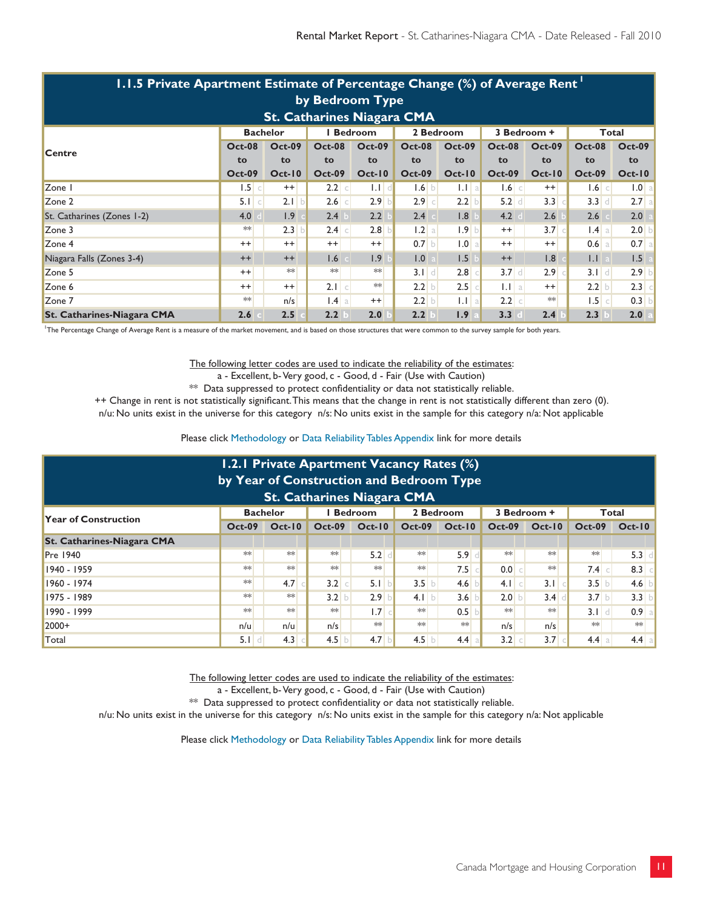| 1.1.5 Private Apartment Estimate of Percentage Change (%) of Average Rent |               |               |                  |               |               |               |               |               |                 |                  |  |  |
|---------------------------------------------------------------------------|---------------|---------------|------------------|---------------|---------------|---------------|---------------|---------------|-----------------|------------------|--|--|
| by Bedroom Type                                                           |               |               |                  |               |               |               |               |               |                 |                  |  |  |
| <b>St. Catharines Niagara CMA</b>                                         |               |               |                  |               |               |               |               |               |                 |                  |  |  |
| 2 Bedroom<br><b>Bachelor</b><br>I Bedroom<br>3 Bedroom +<br>Total         |               |               |                  |               |               |               |               |               |                 |                  |  |  |
| <b>Centre</b>                                                             | <b>Oct-08</b> | <b>Oct-09</b> | <b>Oct-08</b>    | <b>Oct-09</b> | <b>Oct-08</b> | <b>Oct-09</b> | <b>Oct-08</b> | <b>Oct-09</b> | <b>Oct-08</b>   | <b>Oct-09</b>    |  |  |
|                                                                           | to            | to            | to               | to            | to            | to            | to            | to            | to              | to               |  |  |
|                                                                           | <b>Oct-09</b> | $Oct-10$      | <b>Oct-09</b>    | $Oct-10$      | <b>Oct-09</b> | $Oct-10$      | <b>Oct-09</b> | $Oct-10$      | <b>Oct-09</b>   | <b>Oct-10</b>    |  |  |
| Zone I                                                                    | $1.5$ c       | $^{++}$       | 2.2<br>$\subset$ | $1.1$ d       | $1.6$ b       | $1.1$ a       | $1.6$ c       | $^{++}$       | $1.6$ c         | 1.0 <sub>a</sub> |  |  |
| Zone 2                                                                    | 5.1 c         | 2.1 b         | $2.6$ c          | 2.9           | $2.9$ c       | 2.2           | $5.2$ d       | 3.3           | $3.3$ d         | 2.7a             |  |  |
| St. Catharines (Zones 1-2)                                                | 4.0           | 1.9           | 2.4              | 2.2           | 2.4           | 1.8           | 4.2           | 2.6           | 2.6             | 2.0              |  |  |
| Zone 3                                                                    | $**$          | 2.3           | $2.4$ c          | 2.8           | 1.2 a         | 1.9<br>b      | $^{++}$       | $3.7 \degree$ | $1.4 \text{ a}$ | 2.0              |  |  |
| Zone 4                                                                    | $++$          | $^{++}$       | $^{++}$          | $^{++}$       | $0.7$ b       | 1.0<br>a      | $++$          | $++$          | $0.6$ a         | $0.7$ a          |  |  |
| Niagara Falls (Zones 3-4)                                                 | $++$          | $^{++}$       | 1.6              | 1.9           | 1.0           | 1.5           | $^{++}$       | 1.8           | $\mathsf{L}$    | 1.5              |  |  |
| Zone 5                                                                    | $++$          | $**$          | $*\ast$          | $**$          | $3.1$ d       | 2.8           | $3.7$ d       | 2.9           | $3.1$ d         | 2.9              |  |  |
| Zone 6                                                                    | $^{++}$       | $^{++}$       | $2.1$ c          | $**$          | 2.2 b         | 2.5           | $ 11 $ a      | $^{++}$       | $2.2$ b         | 2.3              |  |  |
| Zone 7                                                                    | $**$          | n/s           | .4 a             | $^{++}$       | 2.2 b         | $1.1$ a       | 2.2 c         | **            | $1.5$ $c$       | 0.3              |  |  |
| <b>St. Catharines-Niagara CMA</b>                                         | 2.6           | 2.5           | 2.2              | 2.0           | 2.2           | 1.9           | 3.3           | 2.4           | 2.3             | 2.0              |  |  |

1 The Percentage Change of Average Rent is a measure of the market movement, and is based on those structures that were common to the survey sample for both years.

The following letter codes are used to indicate the reliability of the estimates: a - Excellent, b- Very good, c - Good, d - Fair (Use with Caution)

\*\* Data suppressed to protect confidentiality or data not statistically reliable.

++ Change in rent is not statistically significant. This means that the change in rent is not statistically different than zero (0).

n/u: No units exist in the universe for this category n/s: No units exist in the sample for this category n/a: Not applicable

Please click Methodology or Data Reliability Tables Appendix link for more details

| 1.2.1 Private Apartment Vacancy Rates (%)<br>by Year of Construction and Bedroom Type                |               |                  |               |                  |               |          |                 |                  |               |                  |  |  |
|------------------------------------------------------------------------------------------------------|---------------|------------------|---------------|------------------|---------------|----------|-----------------|------------------|---------------|------------------|--|--|
| St. Catharines Niagara CMA<br><b>Bedroom</b><br>2 Bedroom<br><b>Bachelor</b><br>3 Bedroom +<br>Total |               |                  |               |                  |               |          |                 |                  |               |                  |  |  |
| <b>Year of Construction</b>                                                                          | <b>Oct-09</b> | $Oct-10$         | <b>Oct-09</b> | <b>Oct-10</b>    | <b>Oct-09</b> | $Oct-10$ | <b>Oct-09</b>   | $Oct-10$         | <b>Oct-09</b> | $Oct-10$         |  |  |
| <b>St. Catharines-Niagara CMA</b>                                                                    |               |                  |               |                  |               |          |                 |                  |               |                  |  |  |
| <b>Pre 1940</b>                                                                                      | $*$           | **               | $**$          | 5.2              | $**$          | 5.9      | $**$            | $**$             | $**$          | $5.3$ d          |  |  |
| 1940 - 1959                                                                                          | $*$           | **               | $**$          | $**$             | $**$          | 7.5      | $0.0$ $\subset$ | $**$             | $7.4$ c       | $8.3$ $\circ$    |  |  |
| 1960 - 1974                                                                                          | $**$          | 4.7 <sup>°</sup> | 3.2           | 5.1<br>$\subset$ | 3.5           | 4.6      | $4.1$ $c$       | 3.1              | 3.5 b         | 4.6 $\vert$      |  |  |
| 1975 - 1989                                                                                          | $*$           | $**$             | 3.2           | 2.9<br>b         | 4.1 b         | 3.6      | 2.0 b           | 3.4              | 3.7 b         | 3.3 b            |  |  |
| 1990 - 1999                                                                                          | $*$           | $**$             | **            | 1.7              | $**$          | 0.5      | $**$            | $**$             | $3.1$ d       | 0.9 <sub>a</sub> |  |  |
| $2000+$                                                                                              | n/u           | n/u              | n/s           | $**$             | $**$          | $**$     | n/s             | n/s              | $**$          | $**$             |  |  |
| Total                                                                                                | 5.1           | 4.3              | 4.5           | 4.7              | 4.5           | 4.4      | 3.2             | 3.7 <sup>1</sup> | 4.4<br>a      | $4.4$ a          |  |  |

The following letter codes are used to indicate the reliability of the estimates:

a - Excellent, b- Very good, c - Good, d - Fair (Use with Caution)

\*\* Data suppressed to protect confidentiality or data not statistically reliable.

n/u: No units exist in the universe for this category n/s: No units exist in the sample for this category n/a: Not applicable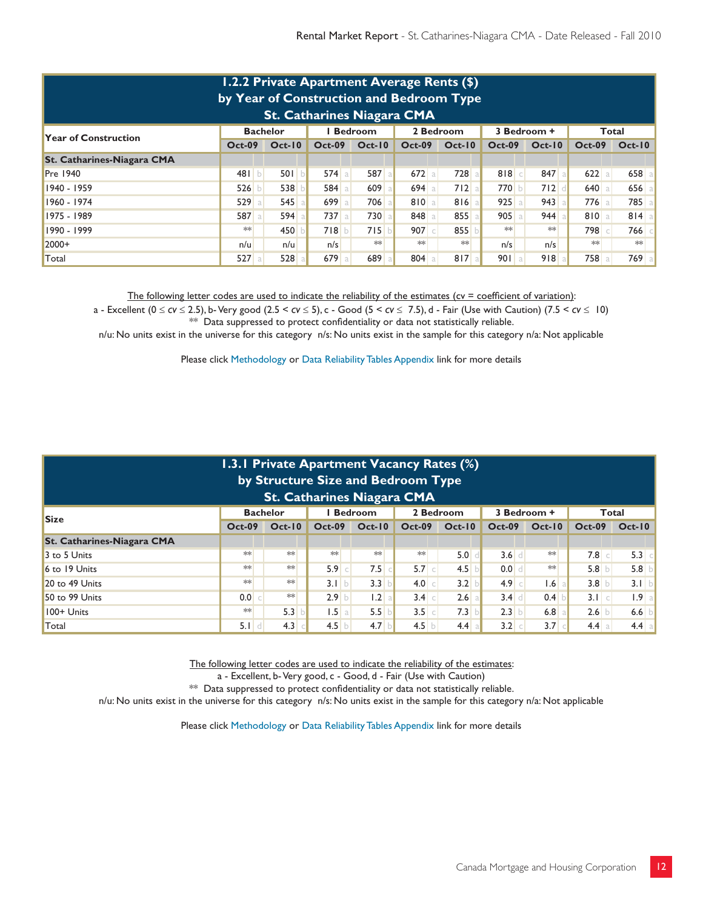| 1.2.2 Private Apartment Average Rents (\$)<br>by Year of Construction and Bedroom Type<br><b>St. Catharines Niagara CMA</b> |          |          |          |          |               |          |               |               |               |            |  |  |
|-----------------------------------------------------------------------------------------------------------------------------|----------|----------|----------|----------|---------------|----------|---------------|---------------|---------------|------------|--|--|
| 2 Bedroom<br><b>Bedroom</b><br>3 Bedroom +<br><b>Bachelor</b><br>Total<br><b>Year of Construction</b>                       |          |          |          |          |               |          |               |               |               |            |  |  |
|                                                                                                                             | $Oct-09$ | $Oct-10$ | $Oct-09$ | $Oct-10$ | <b>Oct-09</b> | $Oct-10$ | <b>Oct-09</b> | <b>Oct-10</b> | <b>Oct-09</b> | $Oct-10$   |  |  |
| <b>St. Catharines-Niagara CMA</b>                                                                                           |          |          |          |          |               |          |               |               |               |            |  |  |
| <b>Pre 1940</b>                                                                                                             | 481 b    | 501 b    | $574$ a  | 587 a    | $672$ a       | 728      | 818c          | 847 a         | $622$ a       | $658$ a    |  |  |
| 1940 - 1959                                                                                                                 | 526      | 538      | 584a     | 609      | $694$ a       | 712a     | 770 b         | 712           | 640<br>a      | 656<br>-al |  |  |
| 1960 - 1974                                                                                                                 | 529a     | 545      | 699 a    | 706 a    | 810a          | 816a     | $925$ a       | 943           | $776$ a       | 785 a      |  |  |
| 1975 - 1989                                                                                                                 | 587 a    | 594      | $737$ a  | 730      | 848           | 855      | $905$ a       | 944           | 810 a         | $814$ a    |  |  |
| 1990 - 1999                                                                                                                 | **       | 450      | 718 b    | 715      | $907$ $\circ$ | 855      | $**$          | $**$          | 798           | 766 cl     |  |  |
| $2000+$                                                                                                                     | n/u      | n/u      | n/s      | $**$     | $**$          | $**$     | n/s           | n/s           | $**$          | $**$       |  |  |
| Total                                                                                                                       | 527a     | 528      | 679a     | 689      | 804           | 817a     | 901a          | 918           | 758 a         | 769 a      |  |  |

The following letter codes are used to indicate the reliability of the estimates (cv = coefficient of variation):

a - Excellent ( $0 \le c$ v  $\le$  2.5), b- Very good (2.5 <  $c$ v  $\le$  5), c - Good (5 <  $c$ v  $\le$  7.5), d - Fair (Use with Caution) (7.5 <  $c$ v  $\le$  10) \*\* Data suppressed to protect confidentiality or data not statistically reliable.

n/u: No units exist in the universe for this category n/s: No units exist in the sample for this category n/a: Not applicable

Please click Methodology or Data Reliability Tables Appendix link for more details

| 1.3.1 Private Apartment Vacancy Rates (%)<br>by Structure Size and Bedroom Type<br><b>St. Catharines Niagara CMA</b> |          |               |          |              |               |               |               |           |               |                  |  |  |
|----------------------------------------------------------------------------------------------------------------------|----------|---------------|----------|--------------|---------------|---------------|---------------|-----------|---------------|------------------|--|--|
| <b>Bedroom</b><br>2 Bedroom<br>3 Bedroom +<br><b>Bachelor</b><br>Total<br><b>Size</b>                                |          |               |          |              |               |               |               |           |               |                  |  |  |
|                                                                                                                      | $Oct-09$ | <b>Oct-10</b> | $Oct-09$ | $Oct-10$     | <b>Oct-09</b> | <b>Oct-10</b> | <b>Oct-09</b> | $Oct-10$  | <b>Oct-09</b> | $Oct-10$         |  |  |
| <b>St. Catharines-Niagara CMA</b>                                                                                    |          |               |          |              |               |               |               |           |               |                  |  |  |
| 3 to 5 Units                                                                                                         | $**$     | $**$          | $**$     | $**$         | $**$          | 5.0           | $3.6$ d       | $**$      | $7.8$ c       | $5.3$ $\circ$    |  |  |
| 6 to 19 Units                                                                                                        | $**$     | $\ast\ast$    | $5.9$ c  | $7.5$ c      | $5.7$ $\circ$ | 4.5           | 0.0           | $**$      | 5.8           | 5.8              |  |  |
| $20$ to 49 Units                                                                                                     | $*$      | $**$          | 3.1 b    | $3.3$ b      | 4.0           | 3.2 b         | $4.9$ c       | $1.6$   a | 3.8           | 3.1 b            |  |  |
| 50 to 99 Units                                                                                                       | $0.0$ c  | $\ast\ast$    | $2.9$ b  | 1.2 a        | 3.4           | $2.6$ a       | $3.4$ d       | 0.4       | 3.1 c         | 1.9 <sub>a</sub> |  |  |
| 100+ Units                                                                                                           | $**$     | 5.3           | $1.5$ a  | $5.5$ b      | $3.5$ c       | 7.3           | 2.3 b         | $6.8$ a   | 2.6           | 6.6              |  |  |
| Total                                                                                                                | $5.1$ d  | 4.3           | 4.5      | $4.7$ b<br>D | 4.5           | 4.4           | 3.2 c         | 3.7       | 4.4           | 4.4 a            |  |  |

The following letter codes are used to indicate the reliability of the estimates:

a - Excellent, b- Very good, c - Good, d - Fair (Use with Caution)

\*\* Data suppressed to protect confidentiality or data not statistically reliable.

n/u: No units exist in the universe for this category n/s: No units exist in the sample for this category n/a: Not applicable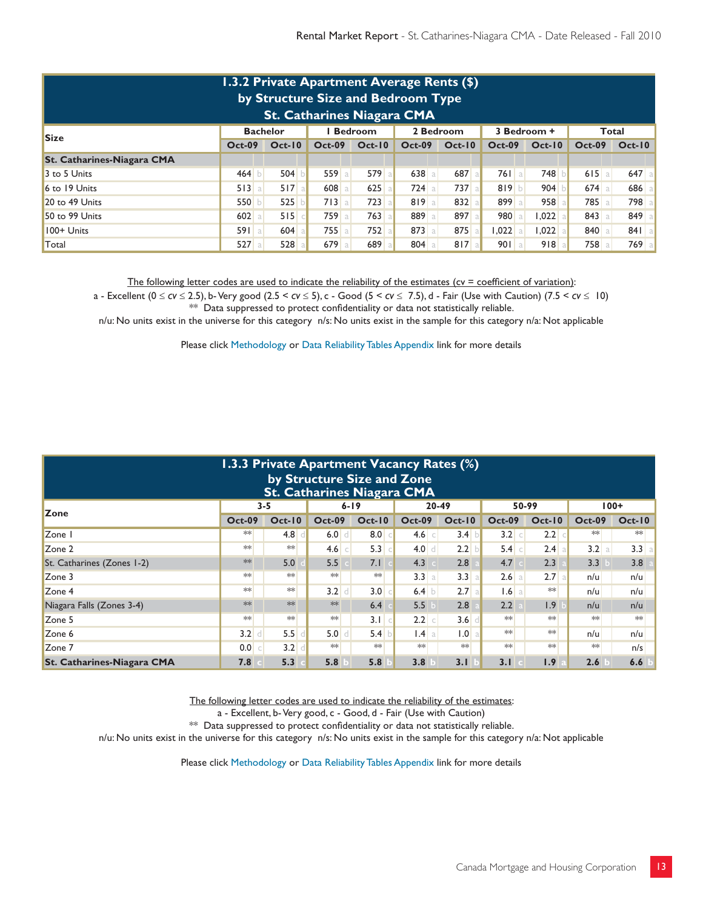| 1.3.2 Private Apartment Average Rents (\$)<br>by Structure Size and Bedroom Type<br><b>St. Catharines Niagara CMA</b> |          |               |               |          |          |          |               |          |               |          |  |  |
|-----------------------------------------------------------------------------------------------------------------------|----------|---------------|---------------|----------|----------|----------|---------------|----------|---------------|----------|--|--|
| 2 Bedroom<br><b>Bachelor</b><br><b>Bedroom</b><br>Total<br>3 Bedroom +<br><b>Size</b>                                 |          |               |               |          |          |          |               |          |               |          |  |  |
|                                                                                                                       | $Oct-09$ | <b>Oct-10</b> | <b>Oct-09</b> | $Oct-10$ | $Oct-09$ | $Oct-10$ | <b>Oct-09</b> | $Oct-10$ | <b>Oct-09</b> | $Oct-10$ |  |  |
| <b>St. Catharines-Niagara CMA</b>                                                                                     |          |               |               |          |          |          |               |          |               |          |  |  |
| 3 to 5 Units                                                                                                          | 464      | 504           | 559a          | 579      | $638$ a  | 687 al   | $761$ a       | 748      | $615$ a       | $647$ a  |  |  |
| 6 to 19 Units                                                                                                         | 513a     | 517a          | 608           | 625      | $724$ a  | $737$ a  | 819 b         | 904      | $674$ a       | $686$ a  |  |  |
| 20 to 49 Units                                                                                                        | 550      | 525           | 713 a         | 723      | 819a     | 832a     | 899 a         | 958      | 785 a         | 798 al   |  |  |
| 50 to 99 Units                                                                                                        | $602$ a  | 515           | 759 a         | $763$ a  | 889 a    | 897 a    | 980 a         | .022     | $843$ a       | 849 a    |  |  |
| 100+ Units                                                                                                            | 591a     | 604           | $755$ a       | 752a     | $873$ a  | 875      | $1,022$ a     | 1,022    | 840 a         | $841$ a  |  |  |
| Total                                                                                                                 | 527a     | 528           | 679a          | 689      | 804      | 817a     | 901a          | 918      | 758 a         | 769 al   |  |  |

The following letter codes are used to indicate the reliability of the estimates ( $cv =$  coefficient of variation):

a - Excellent (0 ≤ *cv* ≤ 2.5), b- Very good (2.5 < *cv* ≤ 5), c - Good (5 < *cv* ≤ 7.5), d - Fair (Use with Caution) (7.5 < *cv* ≤ 10)  $*$  Data suppressed to protect confidentiality or data not statistically reliable.

n/u: No units exist in the universe for this category n/s: No units exist in the sample for this category n/a: Not applicable

Please click Methodology or Data Reliability Tables Appendix link for more details

|                                                              | 1.3.3 Private Apartment Vacancy Rates (%)<br>by Structure Size and Zone<br><b>St. Catharines Niagara CMA</b> |               |                     |          |                 |          |               |          |               |          |  |  |  |  |  |
|--------------------------------------------------------------|--------------------------------------------------------------------------------------------------------------|---------------|---------------------|----------|-----------------|----------|---------------|----------|---------------|----------|--|--|--|--|--|
| 50-99<br>$3 - 5$<br>$6 - 19$<br>20-49<br>100+<br><b>Zone</b> |                                                                                                              |               |                     |          |                 |          |               |          |               |          |  |  |  |  |  |
|                                                              | <b>Oct-09</b>                                                                                                | <b>Oct-10</b> | <b>Oct-09</b>       | $Oct-10$ | <b>Oct-09</b>   | $Oct-10$ | <b>Oct-09</b> | $Oct-10$ | <b>Oct-09</b> | $Oct-10$ |  |  |  |  |  |
| Zone I                                                       | **                                                                                                           | 4.8           | 6.0<br>$\mathbf{d}$ | 8.0      | $4.6$ $\circ$   | 3.4      | 3.2 c         | 2.2      | $**$          | $**$     |  |  |  |  |  |
| Zone 2                                                       | $*$                                                                                                          | $**$          | 4.6<br>$\subset$    | 5.3      | $4.0$ d         | 2.2      | 5.4 c         | $2.4$ a  | 3.2 a         | 3.3 a    |  |  |  |  |  |
| St. Catharines (Zones 1-2)                                   | $**$                                                                                                         | 5.0           | 5.5                 | 7.1      | 4.3             | 2.8      | 4.7           | 2.3      | 3.3           | 3.8      |  |  |  |  |  |
| Zone 3                                                       | $**$                                                                                                         | $**$          | $**$                | $**$     | 3.3 a           | 3.3      | 2.6 a         | 2.7a     | n/u           | n/u      |  |  |  |  |  |
| Zone 4                                                       | $**$                                                                                                         | $**$          | 3.2<br>d            | 3.0      | 6.4 b           | 2.7<br>a | $1.6$ a       | $**$     | n/u           | n/u      |  |  |  |  |  |
| Niagara Falls (Zones 3-4)                                    | $**$                                                                                                         | $**$          | $**$                | 6.4      | 5.5             | 2.8      | 2.2           | 1.9      | n/u           | n/u      |  |  |  |  |  |
| Zone 5                                                       | $**$                                                                                                         | $\ast\ast$    | $**$                | 3.1      | $2.2$ $\circ$   | 3.6      | $**$          | $**$     | $**$          | $**$     |  |  |  |  |  |
| Zone 6                                                       | $3.2$ d                                                                                                      | 5.5           | 5.0<br>d            | 5.4      | $1.4 \text{ a}$ | 1.0      | $*$           | $**$     | n/u           | n/u      |  |  |  |  |  |
| Zone 7                                                       | 0.0 c                                                                                                        | 3.2           | $**$                | $**$     | $**$            | $**$     | $*$           | $**$     | $**$          | n/s      |  |  |  |  |  |
| <b>St. Catharines-Niagara CMA</b>                            | 7.8                                                                                                          | 5.3           | 5.8                 | 5.8      | 3.8             | 3.1      | 3.1           | 1.9      | 2.6           | 6.6      |  |  |  |  |  |

The following letter codes are used to indicate the reliability of the estimates:

a - Excellent, b- Very good, c - Good, d - Fair (Use with Caution)

 $**$  Data suppressed to protect confidentiality or data not statistically reliable.

n/u: No units exist in the universe for this category n/s: No units exist in the sample for this category n/a: Not applicable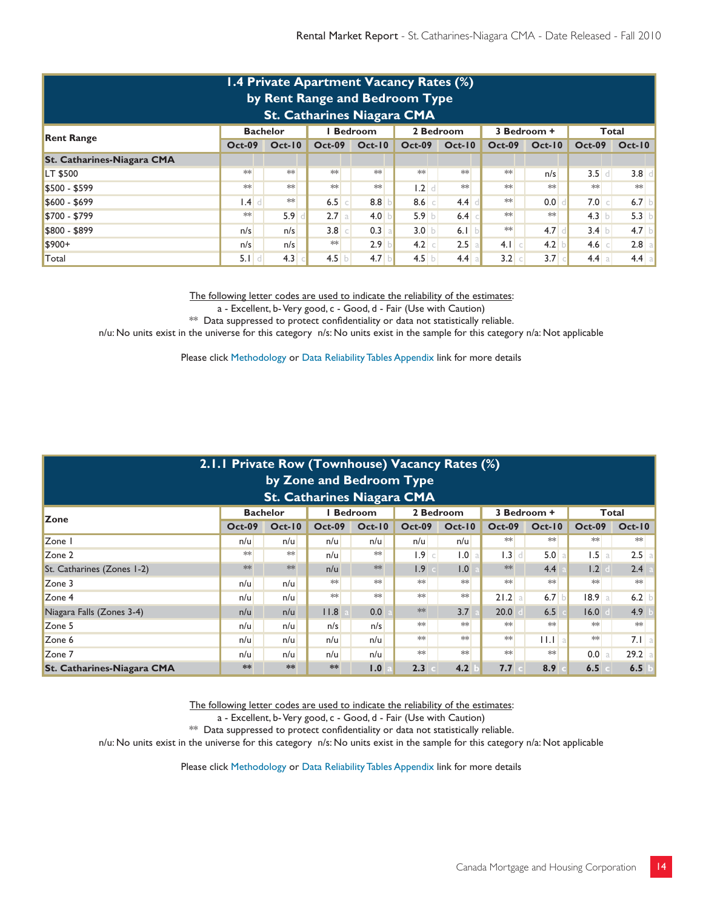| 1.4 Private Apartment Vacancy Rates (%)<br>by Rent Range and Bedroom Type<br><b>St. Catharines Niagara CMA</b> |                           |               |  |               |                     |  |                  |               |               |          |                  |          |  |
|----------------------------------------------------------------------------------------------------------------|---------------------------|---------------|--|---------------|---------------------|--|------------------|---------------|---------------|----------|------------------|----------|--|
| <b>Bedroom</b><br>2 Bedroom<br>3 Bedroom +<br><b>Bachelor</b><br>Total<br><b>Rent Range</b>                    |                           |               |  |               |                     |  |                  |               |               |          |                  |          |  |
|                                                                                                                | <b>Oct-09</b>             | <b>Oct-10</b> |  | <b>Oct-09</b> | $Oct-10$            |  | <b>Oct-09</b>    | <b>Oct-10</b> | <b>Oct-09</b> | $Oct-10$ | <b>Oct-09</b>    | $Oct-10$ |  |
| <b>St. Catharines-Niagara CMA</b>                                                                              |                           |               |  |               |                     |  |                  |               |               |          |                  |          |  |
| LT \$500                                                                                                       | $**$                      | $**$          |  | $**$          | $**$                |  | $**$             | $**$          | $*$           | n/s      | 3.5<br>d         | 3.8      |  |
| \$500 - \$599                                                                                                  | $**$                      | $**$          |  | $**$          | $**$                |  | $\vert .2 \vert$ | $**$          | $*$           | $**$     | $**$             | $**$     |  |
| $$600 - $699$                                                                                                  | $\mathsf{I} \mathsf{A}$ d | $\ast\ast$    |  | $6.5$ $\circ$ | 8.8                 |  | 8.6              | 4.4           | $**$          | 0.0      | 7.0<br>$\subset$ | 6.7      |  |
| \$700 - \$799                                                                                                  | $**$                      | 5.9           |  | 2.7 a         | 4.0                 |  | 5.9 b            | 6.4           | $**$          | $**$     | $4.3$ b          | 5.3      |  |
| \$800 - \$899                                                                                                  | n/s                       | n/s           |  | 3.8           | 0.3<br>$\mathsf{C}$ |  | 3.0 b            | 6.1 b         | $**$          | 4.7      | 3.4 b            | 4.7      |  |
| $$900+$                                                                                                        | n/s                       | n/s           |  | $**$          | 2.9 <sup>°</sup>    |  | $-4.2$ $\circ$   | $2.5$ a       | $4.1$ $c$     | 4.2      | 4.6 c            | $2.8$ a  |  |
| Total                                                                                                          | $5.1$ d                   | 4.3           |  | 4.5<br>b      | 4.7                 |  | 4.5              | 4.4 a         | 3.2           | 3.7      | 4.4 a            | $4.4$ a  |  |

a - Excellent, b- Very good, c - Good, d - Fair (Use with Caution)

\*\* Data suppressed to protect confidentiality or data not statistically reliable.

n/u: No units exist in the universe for this category n/s: No units exist in the sample for this category n/a: Not applicable

Please click Methodology or Data Reliability Tables Appendix link for more details

|                                                                                       | 2.1.1 Private Row (Townhouse) Vacancy Rates (%)<br>by Zone and Bedroom Type |               |               |          |                  |          |                     |                  |               |               |  |  |  |  |
|---------------------------------------------------------------------------------------|-----------------------------------------------------------------------------|---------------|---------------|----------|------------------|----------|---------------------|------------------|---------------|---------------|--|--|--|--|
| <b>St. Catharines Niagara CMA</b>                                                     |                                                                             |               |               |          |                  |          |                     |                  |               |               |  |  |  |  |
| <b>Bachelor</b><br><b>Bedroom</b><br>2 Bedroom<br>Total<br>3 Bedroom +<br><b>Zone</b> |                                                                             |               |               |          |                  |          |                     |                  |               |               |  |  |  |  |
|                                                                                       | <b>Oct-09</b>                                                               | <b>Oct-10</b> | <b>Oct-09</b> | $Oct-10$ | <b>Oct-09</b>    | $Oct-10$ | <b>Oct-09</b>       | <b>Oct-10</b>    | <b>Oct-09</b> | <b>Oct-10</b> |  |  |  |  |
| Zone I                                                                                | n/u                                                                         | n/u           | n/u           | n/u      | n/u              | n/u      | $**$                | $**$             | $**$          | $**$          |  |  |  |  |
| Zone 2                                                                                | **                                                                          | $**$          | n/u           | $**$     | 1.9<br>$\subset$ | 1.0<br>a | 1.3<br>$\mathbf{d}$ | 5.0              | 1.5<br>a      | 2.5           |  |  |  |  |
| St. Catharines (Zones 1-2)                                                            | $**$                                                                        | $**$          | n/u           | $**$     | 1.9              | 1.0      | $**$                | 4.4              | 1.2           | 2.4           |  |  |  |  |
| Zone 3                                                                                | n/u                                                                         | n/u           | $**$          | $**$     | $**$             | $**$     | $**$                | $**$             | $**$          | **            |  |  |  |  |
| Zone 4                                                                                | n/u                                                                         | n/u           | $**$          | $**$     | $**$             | $**$     | $21.2$ a            | 6.7 <sub>b</sub> | 18.9 a        | 6.2           |  |  |  |  |
| Niagara Falls (Zones 3-4)                                                             | n/u                                                                         | n/u           | 11.8          | 0.0      | $**$             | 3.7      | 20.0                | 6.5              | 16.0          | 4.9           |  |  |  |  |
| Zone 5                                                                                | n/u                                                                         | n/u           | n/s           | n/s      | $**$             | $**$     | $**$                | $**$             | $**$          | **            |  |  |  |  |
| Zone 6                                                                                | n/u                                                                         | n/u           | n/u           | n/u      | $**$             | $**$     | $**$                | H.Ha             | $**$          | 7.1 a         |  |  |  |  |
| Zone 7                                                                                | n/u                                                                         | n/u           | n/u           | n/u      | $**$             | $**$     | $*$                 | $**$             | 0.0           | 29.2 a        |  |  |  |  |
| <b>St. Catharines-Niagara CMA</b>                                                     | **                                                                          | **            | **            | 1.0      | 2.3              | 4.2      | 7.7                 | 8.9              | 6.5           | 6.5           |  |  |  |  |

The following letter codes are used to indicate the reliability of the estimates:

a - Excellent, b- Very good, c - Good, d - Fair (Use with Caution)

\*\* Data suppressed to protect confidentiality or data not statistically reliable.

n/u: No units exist in the universe for this category n/s: No units exist in the sample for this category n/a: Not applicable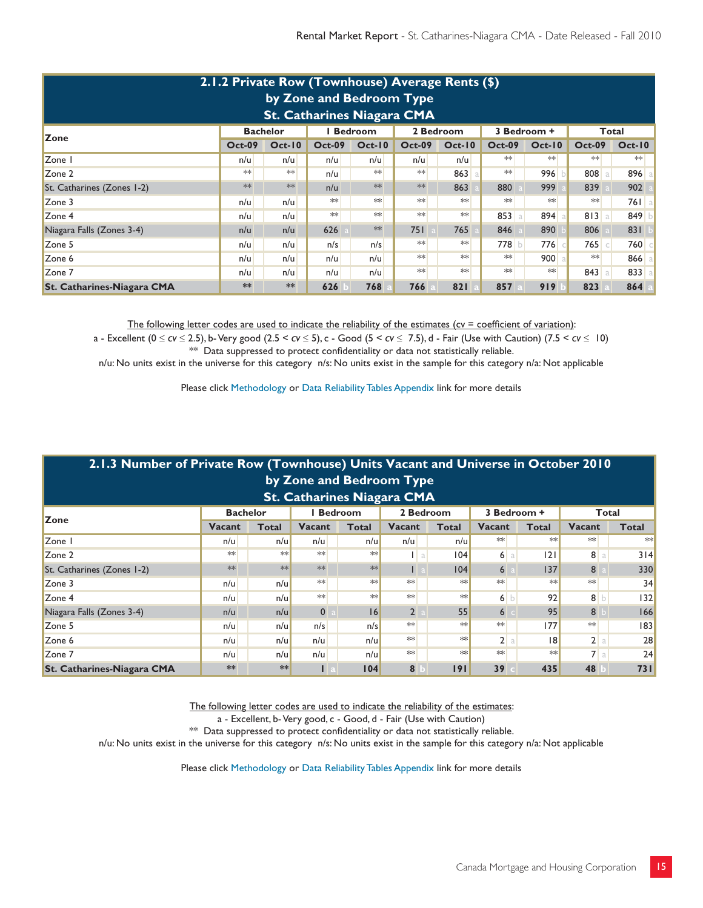| 2.1.2 Private Row (Townhouse) Average Rents (\$)<br>by Zone and Bedroom Type<br><b>St. Catharines Niagara CMA</b> |                                                                            |          |               |          |               |               |               |          |                     |          |  |  |  |  |
|-------------------------------------------------------------------------------------------------------------------|----------------------------------------------------------------------------|----------|---------------|----------|---------------|---------------|---------------|----------|---------------------|----------|--|--|--|--|
| <b>Bedroom</b><br>2 Bedroom<br><b>Bachelor</b><br>3 Bedroom +<br>Total<br><b>Zone</b>                             |                                                                            |          |               |          |               |               |               |          |                     |          |  |  |  |  |
|                                                                                                                   | <b>Oct-09</b>                                                              | $Oct-10$ | <b>Oct-09</b> | $Oct-10$ | <b>Oct-09</b> | <b>Oct-10</b> | <b>Oct-09</b> | $Oct-10$ | <b>Oct-09</b>       | $Oct-10$ |  |  |  |  |
| Zone I                                                                                                            | n/u                                                                        | n/u      | n/u           | n/u      | n/u           | n/u           | $*$           | $*$      | $**$                | $**$     |  |  |  |  |
| Zone 2                                                                                                            | $**$                                                                       | $**$     | n/u           | **       | $**$          | 863           | **            | 996      | 808<br>a            | 896 a    |  |  |  |  |
| St. Catharines (Zones 1-2)                                                                                        | $**$                                                                       | **       | n/u           | $**$     | $**$          | 863           | 880           | 999      | 839                 | 902      |  |  |  |  |
| Zone 3                                                                                                            | n/u                                                                        | n/u      | $**$          | $**$     | $**$          | $**$          | **            | **       | $**$                | $761$ a  |  |  |  |  |
| $\mathsf{Zone}\,4$                                                                                                | n/u                                                                        | n/u      | $*$           | $*$      | $**$          | $**$          | 853 a         | $894$ a  | 813<br>a l          | 849      |  |  |  |  |
| Niagara Falls (Zones 3-4)                                                                                         | n/u                                                                        | n/u      | 626           | $**$     | 751           | 765           | 846           | 890      | 806                 | 831      |  |  |  |  |
| Zone 5                                                                                                            | n/u                                                                        | n/u      | n/s           | n/s      | $**$          | $**$          | 778 b         | 776      | 765<br>$\mathbb{C}$ | 760 €    |  |  |  |  |
| Zone 6                                                                                                            | n/u                                                                        | n/u      | n/u           | n/u      | $**$          | $**$          | $**$          | 900      | $**$                | $866$ a  |  |  |  |  |
| Zone 7                                                                                                            | $*$<br>$**$<br>$**$<br>**<br>843<br>833 a<br>n/u<br>n/u<br>n/u<br>n/u<br>a |          |               |          |               |               |               |          |                     |          |  |  |  |  |
| <b>St. Catharines-Niagara CMA</b>                                                                                 | **                                                                         | **       | 626           | 768      | 766           | 821           | 857           | 919      | 823                 | 864      |  |  |  |  |

The following letter codes are used to indicate the reliability of the estimates ( $cv =$  coefficient of variation):

a - Excellent (0 ≤ *cv* ≤ 2.5), b- Very good (2.5 < *cv* ≤ 5), c - Good (5 < *cv* ≤ 7.5), d - Fair (Use with Caution) (7.5 < *cv* ≤ 10)  $**$  Data suppressed to protect confidentiality or data not statistically reliable.

n/u: No units exist in the universe for this category n/s: No units exist in the sample for this category n/a: Not applicable

Please click Methodology or Data Reliability Tables Appendix link for more details

| 2.1.3 Number of Private Row (Townhouse) Units Vacant and Universe in October 2010<br>by Zone and Bedroom Type<br><b>St. Catharines Niagara CMA</b> |                                                                        |      |              |      |                |             |      |          |                |           |  |  |  |
|----------------------------------------------------------------------------------------------------------------------------------------------------|------------------------------------------------------------------------|------|--------------|------|----------------|-------------|------|----------|----------------|-----------|--|--|--|
| <b>Bedroom</b><br>2 Bedroom<br><b>Bachelor</b><br>3 Bedroom +<br>Total                                                                             |                                                                        |      |              |      |                |             |      |          |                |           |  |  |  |
| <b>Zone</b><br>Vacant<br>Vacant<br>Vacant<br>Vacant<br><b>Vacant</b><br>Total<br><b>Total</b><br>Total<br><b>Total</b><br>Total                    |                                                                        |      |              |      |                |             |      |          |                |           |  |  |  |
| Zone                                                                                                                                               | n/u                                                                    | n/u  | n/u          | n/u  | n/u            | n/u         | $**$ | $**$     | $**$           | **        |  |  |  |
| Zone 2                                                                                                                                             | $**$                                                                   | $**$ | $**$         | $**$ |                | 04 <br>l al |      | 6a<br> 2 | 8 <sup>1</sup> | 3 4 <br>a |  |  |  |
| St. Catharines (Zones 1-2)                                                                                                                         | $*$                                                                    | $**$ | $**$         | **   | ш              | 04          | 6    | 137      | 8              | 330       |  |  |  |
| Zone 3                                                                                                                                             | n/u                                                                    | n/u  | $**$         | $*$  | $**$           | $*$         | $**$ | **       | $**$           | 34        |  |  |  |
| Zone 4                                                                                                                                             | n/u                                                                    | n/u  | $**$         | $**$ | $**$           | $**$        | 6 b  | 92       | 8 <sub>b</sub> | 32        |  |  |  |
| Niagara Falls (Zones 3-4)                                                                                                                          | n/u                                                                    | n/u  | $\mathbf{0}$ | 16   | $\overline{2}$ | 55          | 6    | 95       | 8              | 166       |  |  |  |
| Zone 5                                                                                                                                             | n/u                                                                    | n/u  | n/s          | n/s  | $**$           | $*$         | $**$ | 177      | $**$           | 83        |  |  |  |
| Zone 6                                                                                                                                             | $*$<br>$22$ a<br>$**$<br>2 a <br>28<br>n/u<br> 8 <br>n/u<br>n/u<br>n/u |      |              |      |                |             |      |          |                |           |  |  |  |
| Zone 7                                                                                                                                             | n/u                                                                    | n/u  | n/u          | n/u  | $**$           | $*$         | $**$ | $**$     | 7a             | 24        |  |  |  |
| <b>St. Catharines-Niagara CMA</b>                                                                                                                  | **                                                                     | **   |              | 104  | 8              | 191         | 39   | 435      | 48             | 731       |  |  |  |

The following letter codes are used to indicate the reliability of the estimates:

a - Excellent, b- Very good, c - Good, d - Fair (Use with Caution)

\*\* Data suppressed to protect confidentiality or data not statistically reliable.

n/u: No units exist in the universe for this category n/s: No units exist in the sample for this category n/a: Not applicable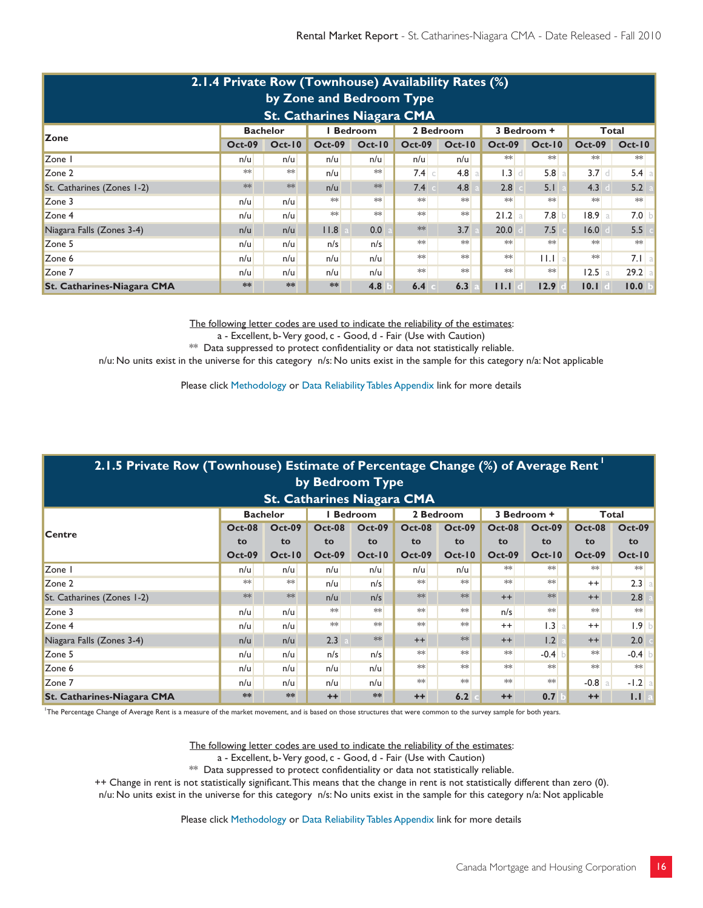| 2.1.4 Private Row (Townhouse) Availability Rates (%)<br>by Zone and Bedroom Type<br><b>St. Catharines Niagara CMA</b> |               |          |               |          |               |          |                        |                           |                        |          |  |  |  |  |
|-----------------------------------------------------------------------------------------------------------------------|---------------|----------|---------------|----------|---------------|----------|------------------------|---------------------------|------------------------|----------|--|--|--|--|
| 2 Bedroom<br><b>Bachelor</b><br><b>Bedroom</b><br>3 Bedroom +<br>Total<br><b>Zone</b>                                 |               |          |               |          |               |          |                        |                           |                        |          |  |  |  |  |
|                                                                                                                       | <b>Oct-09</b> | $Oct-10$ | <b>Oct-09</b> | $Oct-10$ | <b>Oct-09</b> | $Oct-10$ | <b>Oct-09</b>          | $Oct-10$                  | <b>Oct-09</b>          | $Oct-10$ |  |  |  |  |
| Zone I                                                                                                                | n/u           | n/u      | n/u           | n/u      | n/u           | n/u      | $**$                   | $**$                      | $**$                   | $**$     |  |  |  |  |
| Zone 2                                                                                                                | **            | $**$     | n/u           | $**$     | $7.4$ $\circ$ | 4.8<br>a | 1.3<br>$\vert d \vert$ | 5.8                       | 3.7<br>d I             | 5.4<br>a |  |  |  |  |
| St. Catharines (Zones 1-2)                                                                                            | $**$          | $**$     | n/u           | $**$     | 7.4           | 4.8      | 2.8                    | 5.1                       | 4.3                    | 5.2      |  |  |  |  |
| Zone 3                                                                                                                | n/u           | n/u      | $**$          | $**$     | $**$          | $**$     | $*$                    | $**$                      | $**$                   | $**$     |  |  |  |  |
| Zone 4                                                                                                                | n/u           | n/u      | $**$          | $**$     | $**$          | $**$     | 21.2 a                 | 7.8                       | 8.9 <br>a.             | 7.0      |  |  |  |  |
| Niagara Falls (Zones 3-4)                                                                                             | n/u           | n/u      | 11.8          | 0.0      | $**$          | 3.7      | 20.0                   | 7.5                       | 16.0                   | 5.5      |  |  |  |  |
| Zone 5                                                                                                                | n/u           | n/u      | n/s           | n/s      | $**$          | $**$     | $**$                   | $**$                      | $**$                   | **       |  |  |  |  |
| Zone 6                                                                                                                | n/u           | n/u      | n/u           | n/u      | $**$          | $**$     | $**$                   | $\mathbf{H} \mathbf{H}$ a | $**$                   | 7.1 a    |  |  |  |  |
| Zone 7                                                                                                                | n/u           | n/u      | n/u           | n/u      | $**$          | $**$     | $**$                   | $**$                      | 12.5<br>$\overline{a}$ | $29.2$ a |  |  |  |  |
| <b>St. Catharines-Niagara CMA</b>                                                                                     | **            | **       | **            | 4.8      | 6.4           | 6.3      | 11.1                   | 12.9                      | 10.1                   | 10.0     |  |  |  |  |

a - Excellent, b- Very good, c - Good, d - Fair (Use with Caution)

\*\* Data suppressed to protect confidentiality or data not statistically reliable.

n/u: No units exist in the universe for this category n/s: No units exist in the sample for this category n/a: Not applicable

Please click Methodology or Data Reliability Tables Appendix link for more details

| 2.1.5 Private Row (Townhouse) Estimate of Percentage Change (%) of Average Rent |               |               |               |               |               |               |               |               |               |               |  |  |  |
|---------------------------------------------------------------------------------|---------------|---------------|---------------|---------------|---------------|---------------|---------------|---------------|---------------|---------------|--|--|--|
| by Bedroom Type                                                                 |               |               |               |               |               |               |               |               |               |               |  |  |  |
| <b>St. Catharines Niagara CMA</b>                                               |               |               |               |               |               |               |               |               |               |               |  |  |  |
| <b>Bachelor</b><br><b>Bedroom</b><br>2 Bedroom<br>3 Bedroom +<br>Total          |               |               |               |               |               |               |               |               |               |               |  |  |  |
| <b>Centre</b>                                                                   | <b>Oct-08</b> | <b>Oct-09</b> | <b>Oct-08</b> | <b>Oct-09</b> | <b>Oct-08</b> | <b>Oct-09</b> | <b>Oct-08</b> | <b>Oct-09</b> | <b>Oct-08</b> | <b>Oct-09</b> |  |  |  |
|                                                                                 | to            | to            | to            | to            | to            | to            | to            | to            | to            | to            |  |  |  |
|                                                                                 | <b>Oct-09</b> | $Oct-10$      | <b>Oct-09</b> | <b>Oct-10</b> | <b>Oct-09</b> | <b>Oct-10</b> | <b>Oct-09</b> | $Oct-10$      | <b>Oct-09</b> | $Oct-10$      |  |  |  |
| Zone I                                                                          | n/u           | n/u           | n/u           | n/u           | n/u           | n/u           | ∗∗            | $**$          | $**$          | $*$           |  |  |  |
| Zone 2                                                                          | $**$          | $**$          | n/u           | n/s           | **            | $*$           | $*$           | $*$           | $^{++}$       | 2.3           |  |  |  |
| St. Catharines (Zones 1-2)                                                      | **            | $**$          | n/u           | n/s           | $**$          | $**$          | $^{++}$       | $**$          | $^{++}$       | 2.8           |  |  |  |
| Zone 3                                                                          | n/u           | n/u           | ∗∗            | $**$          | $**$          | $*$           | n/s           | $**$          | $**$          | $**$          |  |  |  |
| Zone 4                                                                          | n/u           | n/u           | $*\ast$       | $**$          | $**$          | $**$          | $^{++}$       | 1.3 a         | $^{++}$       | 1.9 b         |  |  |  |
| Niagara Falls (Zones 3-4)                                                       | n/u           | n/u           | 2.3           | $**$          | $^{++}$       | $**$          | $^{++}$       | 1.2           | $^{++}$       | 2.0           |  |  |  |
| Zone 5                                                                          | n/u           | n/u           | n/s           | n/s           | $**$          | $*$           | $**$          | $-0.4$        | $**$          | $-0.4$ b      |  |  |  |
| Zone 6                                                                          | n/u           | n/u           | n/u           | n/u           | $**$          | $*$           | $**$          | $**$          | $**$          | **            |  |  |  |
| Zone 7                                                                          | n/u           | n/u           | n/u           | n/u           | $**$          | $*$           | $**$          | $*$           | $-0.8$<br>a   | $-1.2$ a      |  |  |  |
| <b>St. Catharines-Niagara CMA</b>                                               | **            | **            | $++$          | **            | $++$          | 6.2           | $++$          | 0.7           | $++$          | 1.1           |  |  |  |

1 The Percentage Change of Average Rent is a measure of the market movement, and is based on those structures that were common to the survey sample for both years.

The following letter codes are used to indicate the reliability of the estimates:

a - Excellent, b- Very good, c - Good, d - Fair (Use with Caution)

 $**$  Data suppressed to protect confidentiality or data not statistically reliable.

++ Change in rent is not statistically significant. This means that the change in rent is not statistically different than zero (0).

n/u: No units exist in the universe for this category n/s: No units exist in the sample for this category n/a: Not applicable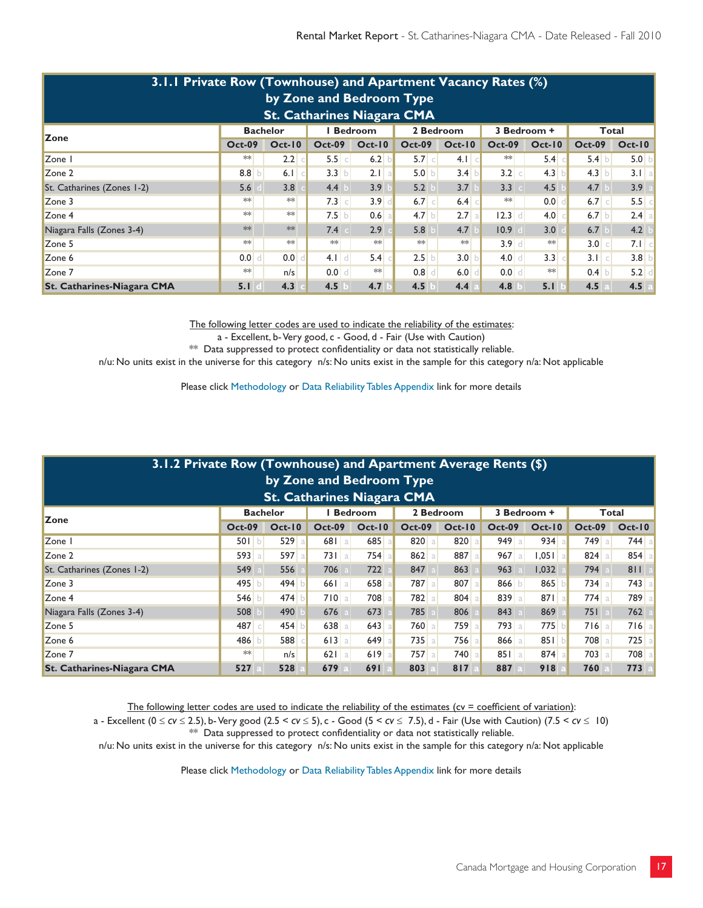| 3.1.1 Private Row (Townhouse) and Apartment Vacancy Rates (%)<br>by Zone and Bedroom Type<br><b>St. Catharines Niagara CMA</b> |                                                                                       |          |               |          |                  |                       |               |               |               |                     |  |  |  |  |
|--------------------------------------------------------------------------------------------------------------------------------|---------------------------------------------------------------------------------------|----------|---------------|----------|------------------|-----------------------|---------------|---------------|---------------|---------------------|--|--|--|--|
| 2 Bedroom<br><b>Bedroom</b><br><b>Bachelor</b><br>3 Bedroom +<br>Total                                                         |                                                                                       |          |               |          |                  |                       |               |               |               |                     |  |  |  |  |
| Zone                                                                                                                           | <b>Oct-09</b>                                                                         | $Oct-10$ | <b>Oct-09</b> | $Oct-10$ | <b>Oct-09</b>    | <b>Oct-10</b>         | <b>Oct-09</b> | $Oct-10$      | <b>Oct-09</b> | $Oct-10$            |  |  |  |  |
| Zone I                                                                                                                         | $**$                                                                                  | 2.2      | 5.5 c         | 6.2      | 5.7 c            | $4.1$ c               | **            | $5.4$ $\circ$ | 5.4 b         | 5.0<br>$\mathbf{b}$ |  |  |  |  |
| Zone 2                                                                                                                         | 8.8 $b$                                                                               | 6.1      | 3.3 b         | 2.1 a    | 5.0 b            | 3.4<br>$\overline{D}$ | 3.2 c         | 4.3           | 4.3 b         | 3.1 a               |  |  |  |  |
| St. Catharines (Zones 1-2)                                                                                                     | 5.6                                                                                   | 3.8      | 4.4           | 3.9      | 5.2              | 3.7                   | 3.3           | 4.5           | 4.7           | 3.9                 |  |  |  |  |
| Zone 3                                                                                                                         | $**$                                                                                  | $**$     | $7.3$ c       | $3.9$ d  | $6.7$ $\circ$    | $6.4$ $\circ$         | **            | 0.0           | $6.7$ $c$     | 5.5<br>-cl          |  |  |  |  |
| Zone 4                                                                                                                         | $**$                                                                                  | $**$     | 7.5 b         | $0.6$ a  | 4.7 <sub>b</sub> | $2.7$ a               | $12.3$ d      | 4.0           | $6.7$ b       | $2.4$ a             |  |  |  |  |
| Niagara Falls (Zones 3-4)                                                                                                      | $**$                                                                                  | **       | 7.4           | 2.9      | 5.8              | 4.7                   | 10.9          | 3.0           | 6.7           | 4.2                 |  |  |  |  |
| Zone 5                                                                                                                         | $**$                                                                                  | $**$     | $**$          | **       | **               | $**$                  | $3.9$ d       | $**$          | 3.0 c         | $7.1$ c             |  |  |  |  |
| Zone 6                                                                                                                         | 0.0                                                                                   | 0.0      | 4.1<br> d     | 5.4      | 2.5              | 3.0<br>b              | $4.0$ d       | 3.3           | 3.1 c         | 3.8<br>$\mathsf{b}$ |  |  |  |  |
| Zone 7                                                                                                                         | $**$<br>$**$<br>**<br>0.0<br>0.8<br>6.0<br>$0.0$ d<br>$0.4$ b<br>5.2<br>n/s<br>d<br>d |          |               |          |                  |                       |               |               |               |                     |  |  |  |  |
| <b>St. Catharines-Niagara CMA</b>                                                                                              | 5.1                                                                                   | 4.3      | 4.5           | 4.7      | 4.5              | 4.4                   | 4.8           | 5.1           | 4.5           | 4.5                 |  |  |  |  |

a - Excellent, b- Very good, c - Good, d - Fair (Use with Caution)

\*\* Data suppressed to protect confidentiality or data not statistically reliable.

n/u: No units exist in the universe for this category n/s: No units exist in the sample for this category n/a: Not applicable

Please click Methodology or Data Reliability Tables Appendix link for more details

| 3.1.2 Private Row (Townhouse) and Apartment Average Rents (\$)<br>by Zone and Bedroom Type<br><b>St. Catharines Niagara CMA</b> |               |          |               |          |               |               |               |           |               |          |  |  |  |  |
|---------------------------------------------------------------------------------------------------------------------------------|---------------|----------|---------------|----------|---------------|---------------|---------------|-----------|---------------|----------|--|--|--|--|
| <b>I</b> Bedroom<br>2 Bedroom<br><b>Bachelor</b><br>3 Bedroom +<br>Total<br><b>Zone</b>                                         |               |          |               |          |               |               |               |           |               |          |  |  |  |  |
|                                                                                                                                 | <b>Oct-09</b> | $Oct-10$ | <b>Oct-09</b> | $Oct-10$ | <b>Oct-09</b> | <b>Oct-10</b> | <b>Oct-09</b> | $Oct-10$  | <b>Oct-09</b> | $Oct-10$ |  |  |  |  |
| Zone I                                                                                                                          | 501 b         | 529      | $681$ a       | 685 a    | 820a          | 820           | 949a          | 934a      | 749 a         | $744$ a  |  |  |  |  |
| Zone 2                                                                                                                          | 593 a         | 597 a    | $731$ a       | 754a     | 862 a         | 887 a         | $967$ a       | $1,051$ a | 824a          | 854a     |  |  |  |  |
| St. Catharines (Zones 1-2)                                                                                                      | 549           | 556      | 706           | 722      | 847           | 863           | 963           | 1.032     | 794           | 811      |  |  |  |  |
| Zone 3                                                                                                                          | 495 b         | 494      | 661<br>l al   | 658 a    | 787 a         | 807 a         | 866 $b$       | 865       | $734$ a       | 743 a    |  |  |  |  |
| Zone 4                                                                                                                          | 546 b         | 474      | 710a          | 708      | 782           | 804           | 839 a         | 871a      | $774$ a       | 789      |  |  |  |  |
| Niagara Falls (Zones 3-4)                                                                                                       | 508           | 490      | 676           | 673      | 785           | 806           | 843           | 869       | 751           | 762      |  |  |  |  |
| Zone 5                                                                                                                          | 487 c         | 454      | 638<br>a      | $643$ a  | 760 a         | 759<br>a      | $793$ a       | 775       | $716$   a     | $716$ a  |  |  |  |  |
| Zone 6                                                                                                                          | 486           | 588      | 613<br>a l    | $649$ a  | $735$ a       | 756           | 866 a         | 851       | 708 a         | 725      |  |  |  |  |
| Zone 7                                                                                                                          | $**$          | n/s      | 621<br>l al   | 619a     | $757$ a       | 740           | 851a          | 874a      | 703 a         | 708      |  |  |  |  |
| <b>St. Catharines-Niagara CMA</b>                                                                                               | 527           | 528      | 679           | 691      | 803           | 817           | 887           | 918       | 760           | 773      |  |  |  |  |

The following letter codes are used to indicate the reliability of the estimates ( $cv =$  coefficient of variation):

a - Excellent (0 *cv* 2.5), b- Very good (2.5 < *cv* 5), c - Good (5 < *cv* 7.5), d - Fair (Use with Caution) (7.5 < *cv* 10) \*\* Data suppressed to protect confidentiality or data not statistically reliable.

n/u: No units exist in the universe for this category n/s: No units exist in the sample for this category n/a: Not applicable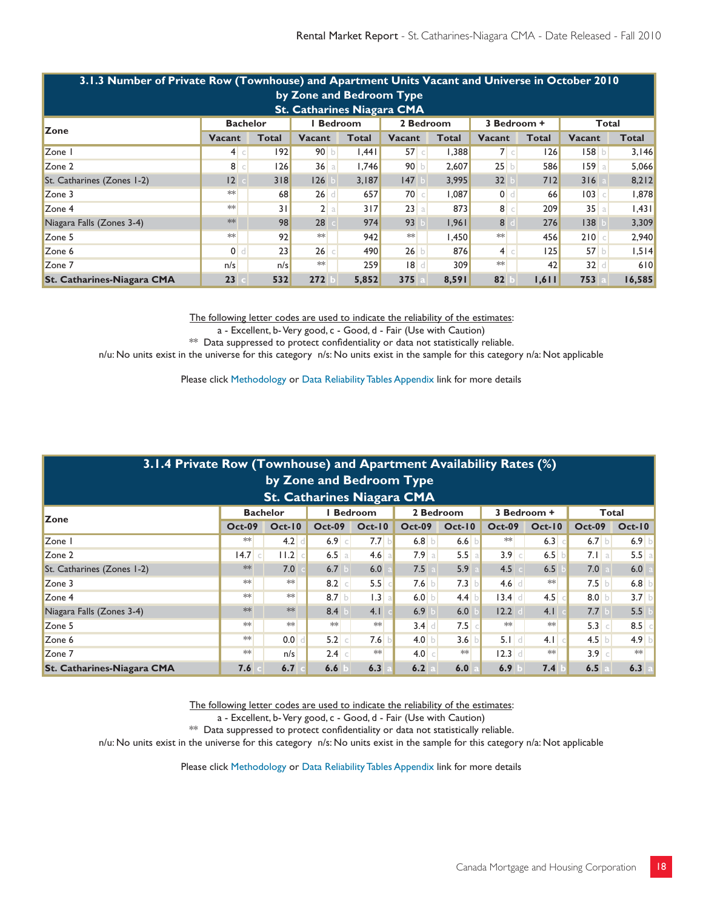| 3.1.3 Number of Private Row (Townhouse) and Apartment Units Vacant and Universe in October 2010 |                |       |               |              |               |              |                |              |            |        |  |  |  |
|-------------------------------------------------------------------------------------------------|----------------|-------|---------------|--------------|---------------|--------------|----------------|--------------|------------|--------|--|--|--|
| by Zone and Bedroom Type                                                                        |                |       |               |              |               |              |                |              |            |        |  |  |  |
| <b>St. Catharines Niagara CMA</b>                                                               |                |       |               |              |               |              |                |              |            |        |  |  |  |
| <b>I</b> Bedroom<br><b>Bachelor</b><br>2 Bedroom<br>3 Bedroom +<br>Total<br><b>Zone</b>         |                |       |               |              |               |              |                |              |            |        |  |  |  |
|                                                                                                 | Vacant         | Total | <b>Vacant</b> | <b>Total</b> | <b>Vacant</b> | <b>Total</b> | Vacant         | <b>Total</b> | Vacant     | Total  |  |  |  |
| Zone I                                                                                          | 4 c            | 92    | 90 b          | 1,441        | 57c           | 1,388        | 7 c            | 126          | 158 b      | 3,146  |  |  |  |
| Zone 2                                                                                          | 8 c            | 26    | $36$ a        | 1.746        | 90 b          | 2,607        | 25 b           | 586          | 159<br>a l | 5,066  |  |  |  |
| St. Catharines (Zones 1-2)                                                                      | 2              | 3 8   | 126           | 3,187        | 147           | 3,995        | 32             | 7 2          | 316        | 8,212  |  |  |  |
| Zone 3                                                                                          | $**$           | 68    | $26$ d        | 657          | 70c           | 1,087        | $0$ d          | 66           | 03         | 1,878  |  |  |  |
| Zone 4                                                                                          | $**$           | 31    | 2 a           | 3 7          | 23a           | 873          | 8 <sup>°</sup> | 209          | 35a        | .43    |  |  |  |
| Niagara Falls (Zones 3-4)                                                                       | $**$           | 98    | 28            | 974          | 93            | 1.961        | 8              | 276          | 38         | 3,309  |  |  |  |
| Zone 5                                                                                          | $**$           | 92    | $\ast\ast$    | 942          | $**$          | 1,450        | $**$           | 456          | 210c       | 2,940  |  |  |  |
| Zone 6                                                                                          | 0 <sub>1</sub> | 23    | $26$ $\circ$  | 490          | 26 b          | 876          | 4 c            | 125          | 57 b       | 1,514  |  |  |  |
| Zone 7                                                                                          | n/s            | n/s   | $**$          | 259          | 8             | 309          | $**$           | 42           | $32$ d     | 610    |  |  |  |
| <b>St. Catharines-Niagara CMA</b>                                                               | 23             | 532   | 272           | 5,852        | 375           | 8,591        | 82             | 1,611        | 753        | 16,585 |  |  |  |

a - Excellent, b- Very good, c - Good, d - Fair (Use with Caution)

\*\* Data suppressed to protect confidentiality or data not statistically reliable.

n/u: No units exist in the universe for this category n/s: No units exist in the sample for this category n/a: Not applicable

Please click Methodology or Data Reliability Tables Appendix link for more details

| 3.1.4 Private Row (Townhouse) and Apartment Availability Rates (%)<br>by Zone and Bedroom Type              |               |          |                  |               |               |          |               |          |                     |          |  |  |  |
|-------------------------------------------------------------------------------------------------------------|---------------|----------|------------------|---------------|---------------|----------|---------------|----------|---------------------|----------|--|--|--|
| <b>St. Catharines Niagara CMA</b><br><b>Bedroom</b><br>2 Bedroom<br>3 Bedroom +<br><b>Bachelor</b><br>Total |               |          |                  |               |               |          |               |          |                     |          |  |  |  |
| <b>Zone</b>                                                                                                 | <b>Oct-09</b> | $Oct-10$ | <b>Oct-09</b>    | <b>Oct-10</b> | <b>Oct-09</b> | $Oct-10$ | <b>Oct-09</b> | $Oct-10$ | <b>Oct-09</b>       | $Oct-10$ |  |  |  |
| Zone I                                                                                                      | $**$          | 4.2      | $6.9$ c          | 7.7           | 6.8 b         | 6.6      | $**$          | 6.3      | $6.7$ b             | $6.9$ b  |  |  |  |
| Zone 2                                                                                                      | $14.7$ c      | 11.2     | 6.5 a            | $4.6$ a       | 7.9a          | 5.5<br>a | $3.9$ c       | 6.5 b    | $7.1$ a             | 5.5a     |  |  |  |
| St. Catharines (Zones 1-2)                                                                                  | **            | 7.0      | 6.7              | 6.0           | 7.5           | 5.9      | 4.5           | 6.5      | 7.0                 | 6.0      |  |  |  |
| Zone 3                                                                                                      | $**$          | $**$     | 8.2<br>$\subset$ | 5.5           | $7.6$ b       | 7.3      | $4.6$ d       | $**$     | 7.5 b               | $6.8$ b  |  |  |  |
| Zone 4                                                                                                      | $**$          | **       | 8.7 b            | 1.3 a         | 6.0 $b$       | 4.4      | $13.4$ d      | 4.5      | 8.0 b               | $3.7$ b  |  |  |  |
| Niagara Falls (Zones 3-4)                                                                                   | **            | $**$     | 8.4              | 4.1           | 6.9           | 6.0      | 12.2          | 4.1      | 7.7                 | 5.5      |  |  |  |
| Zone 5                                                                                                      | $**$          | $**$     | $**$             | **            | $3.4$ d       | 7.5      | $**$          | $**$     | 5.3<br>$\mathsf{C}$ | $8.5$ c  |  |  |  |
| Zone 6                                                                                                      | $**$          | 0.0      | 5.2              | 7.6           | 4.0 $\vert$   | 3.6      | $5.1$ d       | 4.1      | 4.5                 | 4.9 b    |  |  |  |
| Zone 7                                                                                                      | $**$          | n/s      | $2.4$ c          | **            | 4.0 c         | $**$     | $12.3$ d      | **       | $3.9$ c             | $**$     |  |  |  |
| <b>St. Catharines-Niagara CMA</b>                                                                           | 7.6           | 6.7      | 6.6              | 6.3           | 6.2           | 6.0      | 6.9           | 7.4      | 6.5                 | 6.3      |  |  |  |

The following letter codes are used to indicate the reliability of the estimates:

a - Excellent, b- Very good, c - Good, d - Fair (Use with Caution)

\*\* Data suppressed to protect confidentiality or data not statistically reliable.

n/u: No units exist in the universe for this category n/s: No units exist in the sample for this category n/a: Not applicable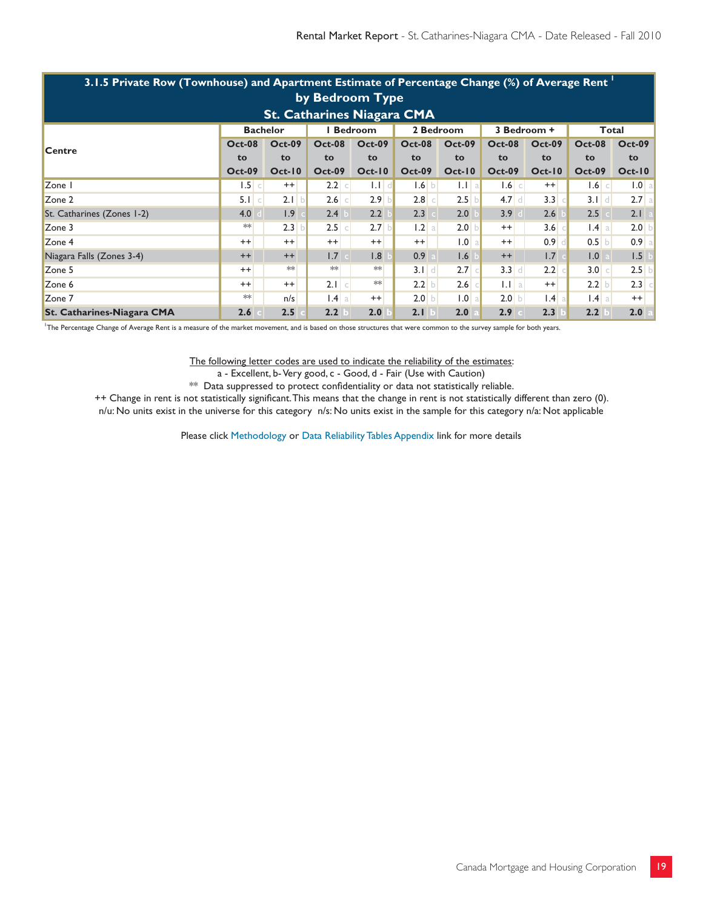| 3.1.5 Private Row (Townhouse) and Apartment Estimate of Percentage Change (%) of Average Rent band |               |               |                  |               |               |                     |               |                  |                 |                  |  |  |  |
|----------------------------------------------------------------------------------------------------|---------------|---------------|------------------|---------------|---------------|---------------------|---------------|------------------|-----------------|------------------|--|--|--|
| by Bedroom Type                                                                                    |               |               |                  |               |               |                     |               |                  |                 |                  |  |  |  |
| <b>St. Catharines Niagara CMA</b>                                                                  |               |               |                  |               |               |                     |               |                  |                 |                  |  |  |  |
| <b>Bedroom</b><br>2 Bedroom<br><b>Bachelor</b><br>3 Bedroom +<br>Total                             |               |               |                  |               |               |                     |               |                  |                 |                  |  |  |  |
| <b>Centre</b>                                                                                      | <b>Oct-08</b> | <b>Oct-09</b> | <b>Oct-08</b>    | <b>Oct-09</b> | <b>Oct-08</b> | <b>Oct-09</b>       | <b>Oct-08</b> | <b>Oct-09</b>    | <b>Oct-08</b>   | <b>Oct-09</b>    |  |  |  |
|                                                                                                    | to            | to            | to               | to            | to            | to                  | to            | to               | to              | to               |  |  |  |
|                                                                                                    | <b>Oct-09</b> | $Oct-10$      | <b>Oct-09</b>    | $Oct-10$      | <b>Oct-09</b> | $Oct-10$            | <b>Oct-09</b> | $Oct-10$         | <b>Oct-09</b>   | $Oct-10$         |  |  |  |
| Zone I                                                                                             | $1.5$ $\circ$ | $^{++}$       | 2.2<br>$\subset$ | $1.1$ d       | 1.6 b         | $1.1$   a           | $1.6$ $\circ$ | $^{++}$          | $1.6$ $\circ$   | 1.0 <sub>a</sub> |  |  |  |
| Zone 2                                                                                             | 5.1 c         | 2.1 b         | 2.6<br>$\subset$ | $2.9$ b       | $2.8$ $\circ$ | 2.5<br>$\mathsf{h}$ | $4.7$ d       | 3.3              | $3.1$ d         | 2.7a             |  |  |  |
| St. Catharines (Zones 1-2)                                                                         | 4.0           | 1.9           | 2.4              | 2.2           | 2.3           | 2.0                 | 3.9           | 2.6              | 2.5             | 2.1              |  |  |  |
| Zone 3                                                                                             | $**$          | 2.3           | $2.5$ $\circ$    | $2.7$ b       | 1.2 a         | 2.0                 | $^{++}$       | 3.6 <sub>o</sub> | $1.4 \text{ a}$ | 2.0 <sub>b</sub> |  |  |  |
| Zone 4                                                                                             | $++$          | $++$          | $^{++}$          | $^{++}$       | $^{++}$       | 1.0                 | $^{++}$       | 0.9 <sub>1</sub> | $0.5$ b         | 0.9 <sub>a</sub> |  |  |  |
| Niagara Falls (Zones 3-4)                                                                          | $++$          | $++$          | 1.7              | 1.8           | 0.9           | 1.6                 | $++$          | 1.7              | 1.0             | 1.5              |  |  |  |
| Zone 5                                                                                             | $++$          | $**$          | $**$             | $**$          | $3.1$ d       | 2.7                 | $3.3$ d       | 2.2              | 3.0 c           | 2.5              |  |  |  |
| Zone 6                                                                                             | $++$          | $^{++}$       | $2.1$ $c$        | **            | 2.2 b         | 2.6                 | $1.1$   a     | $^{++}$          | $2.2$ b         | 2.3              |  |  |  |
| Zone 7                                                                                             | $**$          | n/s           | $1.4$   a        | $^{++}$       | $2.0$ b       | 0.1                 | 2.0 b         | $1.4$ a          | $1.4 \text{ a}$ | $^{++}$          |  |  |  |
| <b>St. Catharines-Niagara CMA</b>                                                                  | 2.6           | 2.5           | 2.2              | 2.0           | 2.1           | 2.0                 | 2.9           | 2.3              | 2.2             | 2.0              |  |  |  |

1 The Percentage Change of Average Rent is a measure of the market movement, and is based on those structures that were common to the survey sample for both years.

#### The following letter codes are used to indicate the reliability of the estimates:

a - Excellent, b- Very good, c - Good, d - Fair (Use with Caution)

\*\* Data suppressed to protect confidentiality or data not statistically reliable.

++ Change in rent is not statistically significant. This means that the change in rent is not statistically different than zero (0). n/u: No units exist in the universe for this category n/s: No units exist in the sample for this category n/a: Not applicable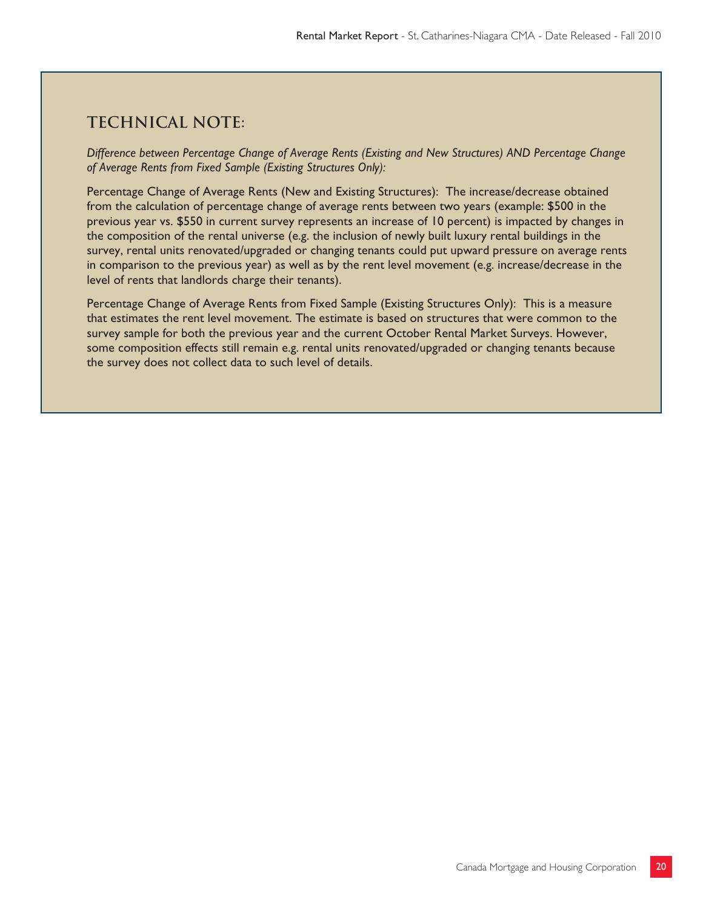# **Technical note:**

*Difference between Percentage Change of Average Rents (Existing and New Structures) AND Percentage Change of Average Rents from Fixed Sample (Existing Structures Only):*

Percentage Change of Average Rents (New and Existing Structures): The increase/decrease obtained from the calculation of percentage change of average rents between two years (example: \$500 in the previous year vs. \$550 in current survey represents an increase of 10 percent) is impacted by changes in the composition of the rental universe (e.g. the inclusion of newly built luxury rental buildings in the survey, rental units renovated/upgraded or changing tenants could put upward pressure on average rents in comparison to the previous year) as well as by the rent level movement (e.g. increase/decrease in the level of rents that landlords charge their tenants).

Percentage Change of Average Rents from Fixed Sample (Existing Structures Only): This is a measure that estimates the rent level movement. The estimate is based on structures that were common to the survey sample for both the previous year and the current October Rental Market Surveys. However, some composition effects still remain e.g. rental units renovated/upgraded or changing tenants because the survey does not collect data to such level of details.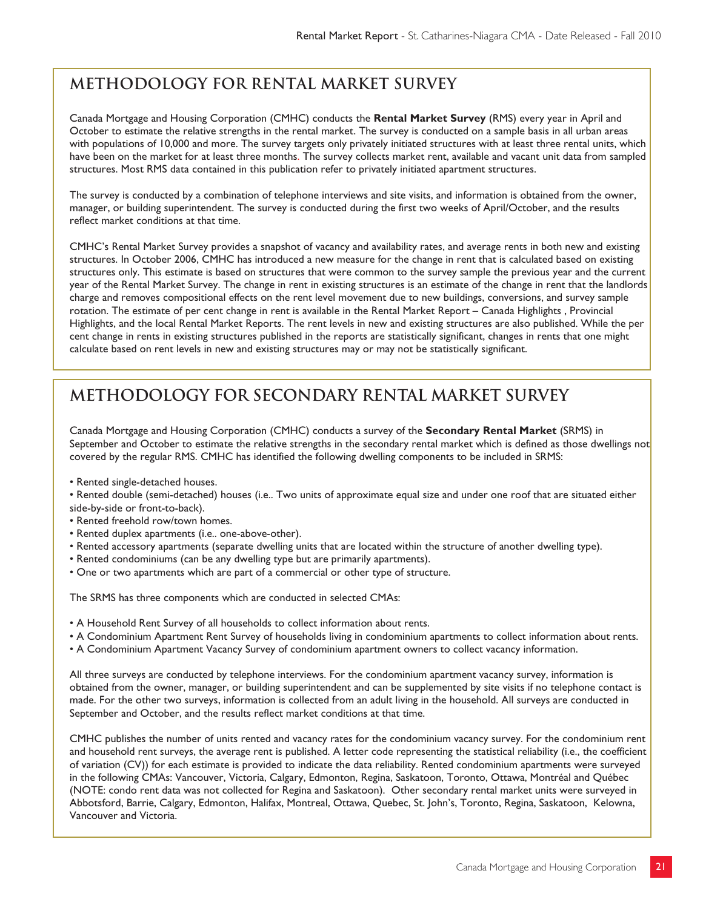# **METHODOLOGY FOR RENTAL MARKET SURVEY**

Canada Mortgage and Housing Corporation (CMHC) conducts the **Rental Market Survey** (RMS) every year in April and October to estimate the relative strengths in the rental market. The survey is conducted on a sample basis in all urban areas with populations of 10,000 and more. The survey targets only privately initiated structures with at least three rental units, which have been on the market for at least three months. The survey collects market rent, available and vacant unit data from sampled structures. Most RMS data contained in this publication refer to privately initiated apartment structures.

The survey is conducted by a combination of telephone interviews and site visits, and information is obtained from the owner, manager, or building superintendent. The survey is conducted during the first two weeks of April/October, and the results reflect market conditions at that time.

CMHC's Rental Market Survey provides a snapshot of vacancy and availability rates, and average rents in both new and existing structures. In October 2006, CMHC has introduced a new measure for the change in rent that is calculated based on existing structures only. This estimate is based on structures that were common to the survey sample the previous year and the current year of the Rental Market Survey. The change in rent in existing structures is an estimate of the change in rent that the landlords charge and removes compositional effects on the rent level movement due to new buildings, conversions, and survey sample rotation. The estimate of per cent change in rent is available in the Rental Market Report – Canada Highlights , Provincial Highlights, and the local Rental Market Reports. The rent levels in new and existing structures are also published. While the per cent change in rents in existing structures published in the reports are statistically significant, changes in rents that one might calculate based on rent levels in new and existing structures may or may not be statistically significant.

# **METHODOLOGY FOR SECONDARY RENTAL MARKET SURVEY**

Canada Mortgage and Housing Corporation (CMHC) conducts a survey of the **Secondary Rental Market** (SRMS) in September and October to estimate the relative strengths in the secondary rental market which is defined as those dwellings not covered by the regular RMS. CMHC has identified the following dwelling components to be included in SRMS:

- Rented single-detached houses.
- Rented double (semi-detached) houses (i.e.. Two units of approximate equal size and under one roof that are situated either side-by-side or front-to-back).
- Rented freehold row/town homes.
- Rented duplex apartments (i.e.. one-above-other).
- Rented accessory apartments (separate dwelling units that are located within the structure of another dwelling type).
- Rented condominiums (can be any dwelling type but are primarily apartments).
- One or two apartments which are part of a commercial or other type of structure.

The SRMS has three components which are conducted in selected CMAs:

- A Household Rent Survey of all households to collect information about rents.
- A Condominium Apartment Rent Survey of households living in condominium apartments to collect information about rents.
- A Condominium Apartment Vacancy Survey of condominium apartment owners to collect vacancy information.

All three surveys are conducted by telephone interviews. For the condominium apartment vacancy survey, information is obtained from the owner, manager, or building superintendent and can be supplemented by site visits if no telephone contact is made. For the other two surveys, information is collected from an adult living in the household. All surveys are conducted in September and October, and the results reflect market conditions at that time.

CMHC publishes the number of units rented and vacancy rates for the condominium vacancy survey. For the condominium rent and household rent surveys, the average rent is published. A letter code representing the statistical reliability (i.e., the coefficient of variation (CV)) for each estimate is provided to indicate the data reliability. Rented condominium apartments were surveyed in the following CMAs: Vancouver, Victoria, Calgary, Edmonton, Regina, Saskatoon, Toronto, Ottawa, Montréal and Québec (NOTE: condo rent data was not collected for Regina and Saskatoon). Other secondary rental market units were surveyed in Abbotsford, Barrie, Calgary, Edmonton, Halifax, Montreal, Ottawa, Quebec, St. John's, Toronto, Regina, Saskatoon, Kelowna, Vancouver and Victoria.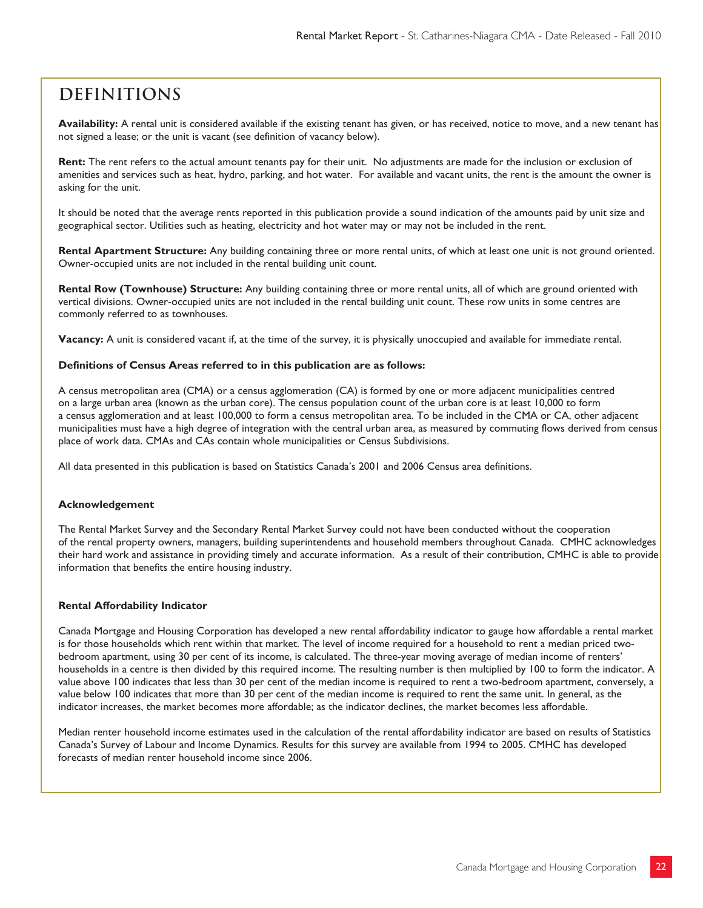# **Definitions**

**Availability:** A rental unit is considered available if the existing tenant has given, or has received, notice to move, and a new tenant has not signed a lease; or the unit is vacant (see definition of vacancy below).

**Rent:** The rent refers to the actual amount tenants pay for their unit. No adjustments are made for the inclusion or exclusion of amenities and services such as heat, hydro, parking, and hot water. For available and vacant units, the rent is the amount the owner is asking for the unit.

It should be noted that the average rents reported in this publication provide a sound indication of the amounts paid by unit size and geographical sector. Utilities such as heating, electricity and hot water may or may not be included in the rent.

**Rental Apartment Structure:** Any building containing three or more rental units, of which at least one unit is not ground oriented. Owner-occupied units are not included in the rental building unit count.

**Rental Row (Townhouse) Structure:** Any building containing three or more rental units, all of which are ground oriented with vertical divisions. Owner-occupied units are not included in the rental building unit count. These row units in some centres are commonly referred to as townhouses.

**Vacancy:** A unit is considered vacant if, at the time of the survey, it is physically unoccupied and available for immediate rental.

#### **Definitions of Census Areas referred to in this publication are as follows:**

A census metropolitan area (CMA) or a census agglomeration (CA) is formed by one or more adjacent municipalities centred on a large urban area (known as the urban core). The census population count of the urban core is at least 10,000 to form a census agglomeration and at least 100,000 to form a census metropolitan area. To be included in the CMA or CA, other adjacent municipalities must have a high degree of integration with the central urban area, as measured by commuting flows derived from census place of work data. CMAs and CAs contain whole municipalities or Census Subdivisions.

All data presented in this publication is based on Statistics Canada's 2001 and 2006 Census area definitions.

#### **Acknowledgement**

The Rental Market Survey and the Secondary Rental Market Survey could not have been conducted without the cooperation of the rental property owners, managers, building superintendents and household members throughout Canada. CMHC acknowledges their hard work and assistance in providing timely and accurate information. As a result of their contribution, CMHC is able to provide information that benefits the entire housing industry.

#### **Rental Affordability Indicator**

Canada Mortgage and Housing Corporation has developed a new rental affordability indicator to gauge how affordable a rental market is for those households which rent within that market. The level of income required for a household to rent a median priced twobedroom apartment, using 30 per cent of its income, is calculated. The three-year moving average of median income of renters' households in a centre is then divided by this required income. The resulting number is then multiplied by 100 to form the indicator. A value above 100 indicates that less than 30 per cent of the median income is required to rent a two-bedroom apartment, conversely, a value below 100 indicates that more than 30 per cent of the median income is required to rent the same unit. In general, as the indicator increases, the market becomes more affordable; as the indicator declines, the market becomes less affordable.

Median renter household income estimates used in the calculation of the rental affordability indicator are based on results of Statistics Canada's Survey of Labour and Income Dynamics. Results for this survey are available from 1994 to 2005. CMHC has developed forecasts of median renter household income since 2006.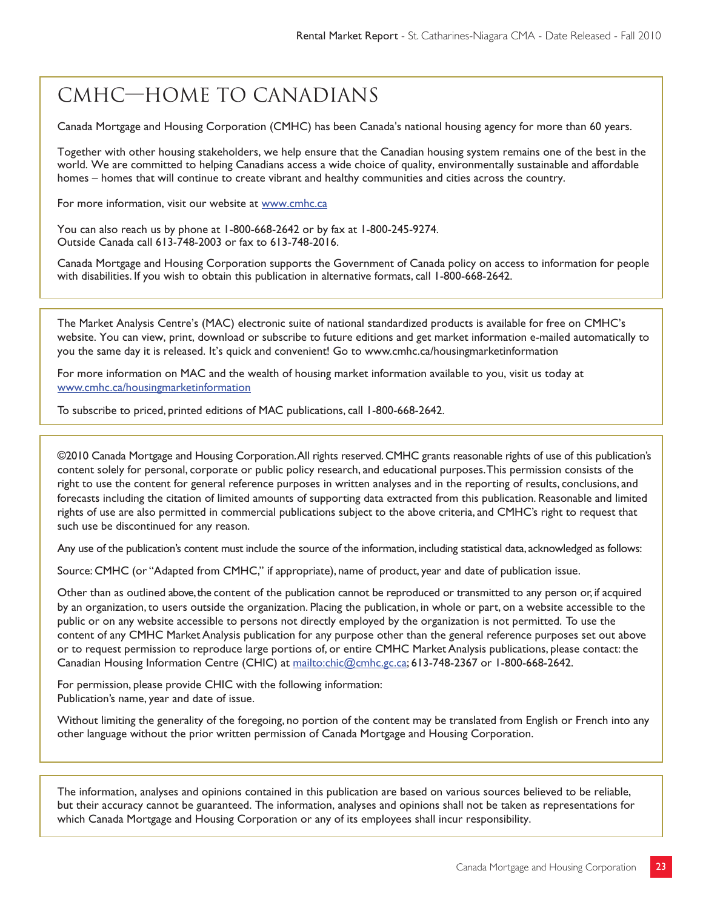# CMHC—Home to Canadians

Canada Mortgage and Housing Corporation (CMHC) has been Canada's national housing agency for more than 60 years.

Together with other housing stakeholders, we help ensure that the Canadian housing system remains one of the best in the world. We are committed to helping Canadians access a wide choice of quality, environmentally sustainable and affordable homes – homes that will continue to create vibrant and healthy communities and cities across the country.

For more information, visit our website at www.cmhc.ca

You can also reach us by phone at 1-800-668-2642 or by fax at 1-800-245-9274. Outside Canada call 613-748-2003 or fax to 613-748-2016.

Canada Mortgage and Housing Corporation supports the Government of Canada policy on access to information for people with disabilities. If you wish to obtain this publication in alternative formats, call 1-800-668-2642.

The Market Analysis Centre's (MAC) electronic suite of national standardized products is available for free on CMHC's website. You can view, print, download or subscribe to future editions and get market information e-mailed automatically to you the same day it is released. It's quick and convenient! Go to www.cmhc.ca/housingmarketinformation

For more information on MAC and the wealth of housing market information available to you, visit us today at www.cmhc.ca/housingmarketinformation

To subscribe to priced, printed editions of MAC publications, call 1-800-668-2642.

©2010 Canada Mortgage and Housing Corporation. All rights reserved. CMHC grants reasonable rights of use of this publication's content solely for personal, corporate or public policy research, and educational purposes. This permission consists of the right to use the content for general reference purposes in written analyses and in the reporting of results, conclusions, and forecasts including the citation of limited amounts of supporting data extracted from this publication. Reasonable and limited rights of use are also permitted in commercial publications subject to the above criteria, and CMHC's right to request that such use be discontinued for any reason.

Any use of the publication's content must include the source of the information, including statistical data, acknowledged as follows:

Source: CMHC (or "Adapted from CMHC," if appropriate), name of product, year and date of publication issue.

Other than as outlined above, the content of the publication cannot be reproduced or transmitted to any person or, if acquired by an organization, to users outside the organization. Placing the publication, in whole or part, on a website accessible to the public or on any website accessible to persons not directly employed by the organization is not permitted. To use the content of any CMHC Market Analysis publication for any purpose other than the general reference purposes set out above or to request permission to reproduce large portions of, or entire CMHC Market Analysis publications, please contact: the Canadian Housing Information Centre (CHIC) at mailto:chic@cmhc.gc.ca; 613-748-2367 or 1-800-668-2642.

For permission, please provide CHIC with the following information: Publication's name, year and date of issue.

Without limiting the generality of the foregoing, no portion of the content may be translated from English or French into any other language without the prior written permission of Canada Mortgage and Housing Corporation.

The information, analyses and opinions contained in this publication are based on various sources believed to be reliable, but their accuracy cannot be guaranteed. The information, analyses and opinions shall not be taken as representations for which Canada Mortgage and Housing Corporation or any of its employees shall incur responsibility.